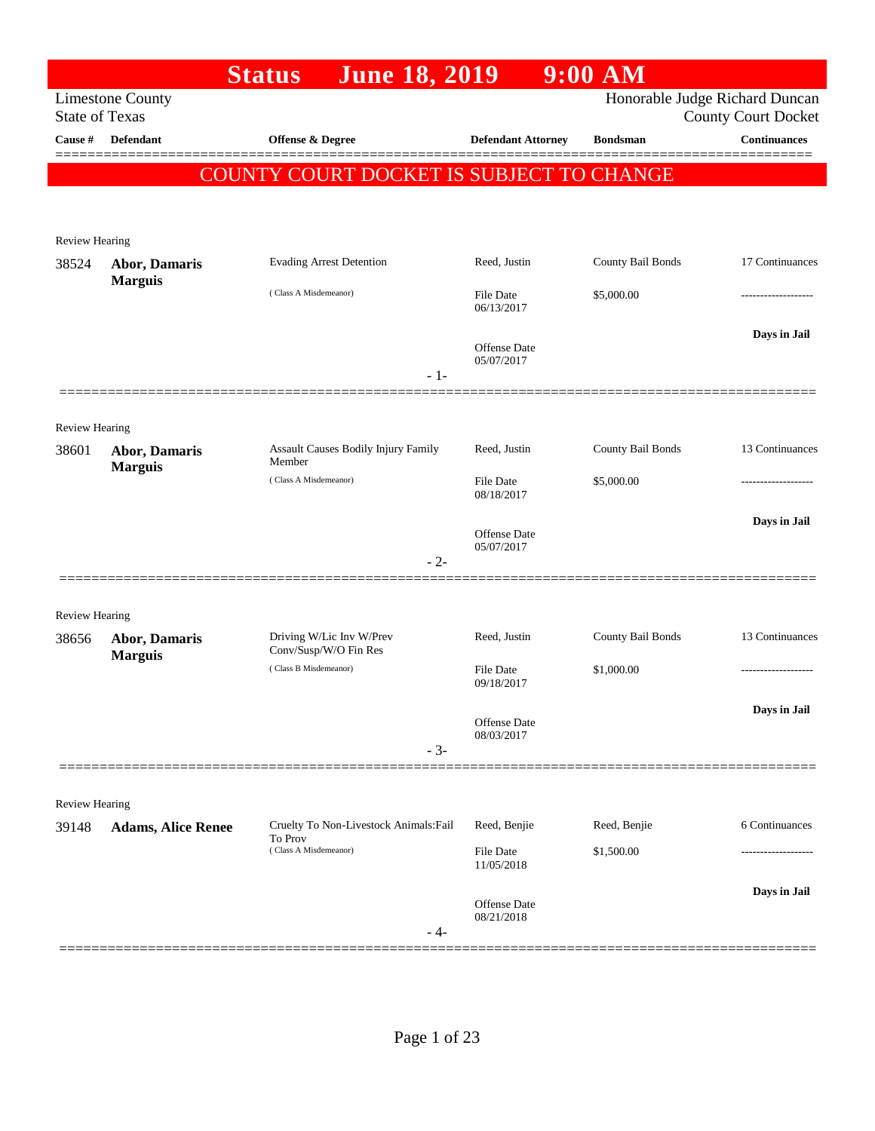|                                |                                 | <b>Status</b><br><b>June 18, 2019</b>             |                                | $9:00$ AM         |                                                              |
|--------------------------------|---------------------------------|---------------------------------------------------|--------------------------------|-------------------|--------------------------------------------------------------|
| <b>State of Texas</b>          | <b>Limestone County</b>         |                                                   |                                |                   | Honorable Judge Richard Duncan<br><b>County Court Docket</b> |
| Cause #                        | <b>Defendant</b>                | <b>Offense &amp; Degree</b>                       | <b>Defendant Attorney</b>      | <b>Bondsman</b>   | <b>Continuances</b>                                          |
|                                |                                 | COUNTY COURT DOCKET IS SUBJECT TO CHANGE          |                                |                   |                                                              |
|                                |                                 |                                                   |                                |                   |                                                              |
| Review Hearing                 |                                 |                                                   |                                |                   |                                                              |
| 38524                          | Abor, Damaris                   | <b>Evading Arrest Detention</b>                   | Reed, Justin                   | County Bail Bonds | 17 Continuances                                              |
|                                | <b>Marguis</b>                  | (Class A Misdemeanor)                             | <b>File Date</b>               | \$5,000.00        |                                                              |
|                                |                                 |                                                   | 06/13/2017                     |                   |                                                              |
|                                |                                 |                                                   | Offense Date                   |                   | Days in Jail                                                 |
|                                |                                 |                                                   | 05/07/2017<br>$-1-$            |                   |                                                              |
|                                |                                 |                                                   |                                |                   |                                                              |
| <b>Review Hearing</b>          |                                 |                                                   |                                |                   |                                                              |
| 38601                          | Abor, Damaris<br><b>Marguis</b> | Assault Causes Bodily Injury Family<br>Member     | Reed, Justin                   | County Bail Bonds | 13 Continuances                                              |
|                                |                                 | (Class A Misdemeanor)                             | <b>File Date</b><br>08/18/2017 | \$5,000.00        |                                                              |
|                                |                                 |                                                   |                                |                   | Days in Jail                                                 |
|                                |                                 |                                                   | Offense Date<br>05/07/2017     |                   |                                                              |
|                                |                                 |                                                   | $-2-$                          |                   |                                                              |
|                                |                                 |                                                   |                                |                   |                                                              |
| <b>Review Hearing</b><br>38656 | <b>Abor, Damaris</b>            | Driving W/Lic Inv W/Prev                          | Reed, Justin                   | County Bail Bonds | 13 Continuances                                              |
|                                | <b>Marguis</b>                  | Conv/Susp/W/O Fin Res<br>(Class B Misdemeanor)    | <b>File Date</b>               | \$1,000.00        |                                                              |
|                                |                                 |                                                   | 09/18/2017                     |                   |                                                              |
|                                |                                 |                                                   | Offense Date                   |                   | Days in Jail                                                 |
|                                |                                 |                                                   | 08/03/2017<br>$-3-$            |                   |                                                              |
|                                |                                 |                                                   |                                |                   |                                                              |
| Review Hearing                 |                                 |                                                   |                                |                   |                                                              |
| 39148                          | <b>Adams, Alice Renee</b>       | Cruelty To Non-Livestock Animals: Fail<br>To Prov | Reed, Benjie                   | Reed, Benjie      | 6 Continuances                                               |
|                                |                                 | (Class A Misdemeanor)                             | File Date<br>11/05/2018        | \$1,500.00        | -----------------                                            |
|                                |                                 |                                                   |                                |                   | Days in Jail                                                 |
|                                |                                 |                                                   | Offense Date<br>08/21/2018     |                   |                                                              |
|                                |                                 |                                                   | - 4-                           |                   |                                                              |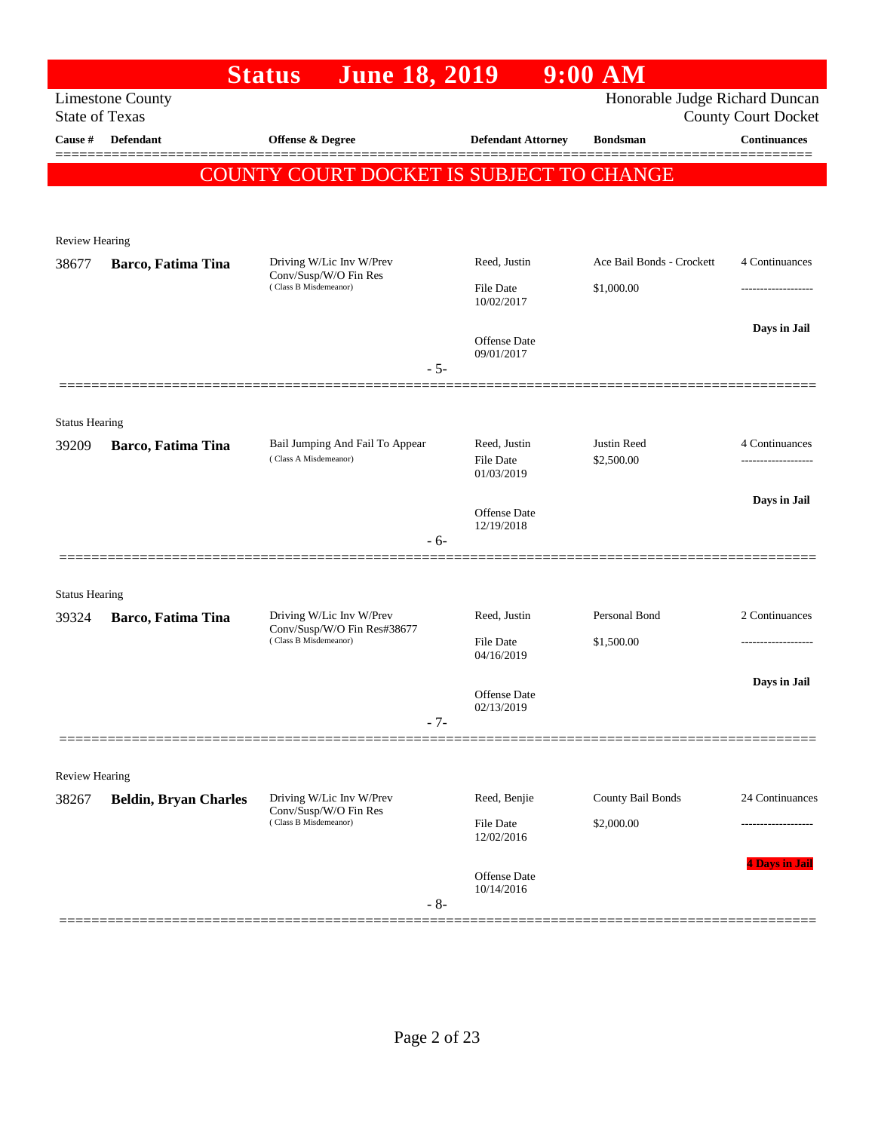|                       |                              | <b>June 18, 2019</b><br><b>Status</b>                    |                                   | $9:00$ AM                      |                            |
|-----------------------|------------------------------|----------------------------------------------------------|-----------------------------------|--------------------------------|----------------------------|
| <b>State of Texas</b> | <b>Limestone County</b>      |                                                          |                                   | Honorable Judge Richard Duncan | <b>County Court Docket</b> |
| Cause #               | <b>Defendant</b>             | <b>Offense &amp; Degree</b>                              | <b>Defendant Attorney</b>         | <b>Bondsman</b>                | <b>Continuances</b>        |
|                       |                              | COUNTY COURT DOCKET IS SUBJECT TO CHANGE                 |                                   |                                |                            |
|                       |                              |                                                          |                                   |                                |                            |
| <b>Review Hearing</b> |                              |                                                          |                                   |                                |                            |
| 38677                 | Barco, Fatima Tina           | Driving W/Lic Inv W/Prev<br>Conv/Susp/W/O Fin Res        | Reed, Justin                      | Ace Bail Bonds - Crockett      | 4 Continuances             |
|                       |                              | (Class B Misdemeanor)                                    | <b>File Date</b><br>10/02/2017    | \$1,000.00                     | ------------------         |
|                       |                              |                                                          |                                   |                                | Days in Jail               |
|                       |                              |                                                          | <b>Offense Date</b><br>09/01/2017 |                                |                            |
|                       |                              | $-5-$                                                    |                                   |                                |                            |
| <b>Status Hearing</b> |                              |                                                          |                                   |                                |                            |
| 39209                 | Barco, Fatima Tina           | Bail Jumping And Fail To Appear<br>(Class A Misdemeanor) | Reed, Justin                      | Justin Reed                    | 4 Continuances             |
|                       |                              |                                                          | <b>File Date</b><br>01/03/2019    | \$2,500.00                     |                            |
|                       |                              |                                                          | <b>Offense</b> Date               |                                | Days in Jail               |
|                       |                              | $-6-$                                                    | 12/19/2018                        |                                |                            |
|                       |                              |                                                          |                                   |                                |                            |
| <b>Status Hearing</b> |                              |                                                          |                                   |                                |                            |
| 39324                 | Barco, Fatima Tina           | Driving W/Lic Inv W/Prev<br>Conv/Susp/W/O Fin Res#38677  | Reed, Justin                      | Personal Bond                  | 2 Continuances             |
|                       |                              | (Class B Misdemeanor)                                    | <b>File Date</b><br>04/16/2019    | \$1,500.00                     | -------------------        |
|                       |                              |                                                          | <b>Offense Date</b>               |                                | Days in Jail               |
|                       |                              | $-7-$                                                    | 02/13/2019                        |                                |                            |
|                       |                              |                                                          |                                   |                                |                            |
| <b>Review Hearing</b> |                              |                                                          |                                   |                                |                            |
| 38267                 | <b>Beldin, Bryan Charles</b> | Driving W/Lic Inv W/Prev<br>Conv/Susp/W/O Fin Res        | Reed, Benjie                      | County Bail Bonds              | 24 Continuances            |
|                       |                              | (Class B Misdemeanor)                                    | File Date<br>12/02/2016           | \$2,000.00                     | .                          |
|                       |                              |                                                          | Offense Date                      |                                | <b>4 Days in Jai</b>       |
|                       |                              | $-8-$                                                    | 10/14/2016                        |                                |                            |
|                       |                              |                                                          |                                   |                                |                            |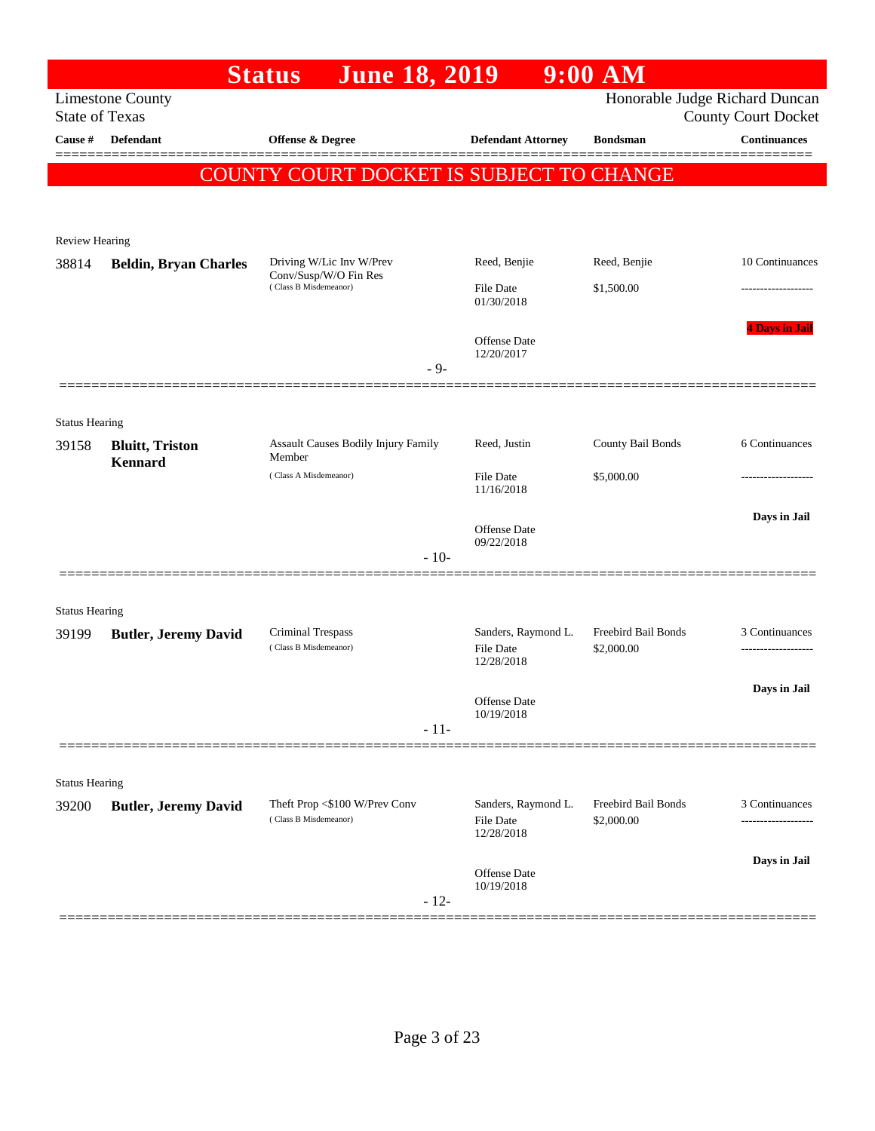|                                |                              | <b>June 18, 2019</b><br><b>Status</b>             |                                                       | $9:00$ AM                         |                                                              |
|--------------------------------|------------------------------|---------------------------------------------------|-------------------------------------------------------|-----------------------------------|--------------------------------------------------------------|
| <b>State of Texas</b>          | <b>Limestone County</b>      |                                                   |                                                       |                                   | Honorable Judge Richard Duncan<br><b>County Court Docket</b> |
| Cause #                        | <b>Defendant</b>             | Offense & Degree                                  | <b>Defendant Attorney</b>                             | <b>Bondsman</b>                   | <b>Continuances</b>                                          |
|                                |                              | COUNTY COURT DOCKET IS SUBJECT TO CHANGE          |                                                       |                                   |                                                              |
|                                |                              |                                                   |                                                       |                                   |                                                              |
| Review Hearing                 |                              |                                                   |                                                       |                                   |                                                              |
| 38814                          | <b>Beldin, Bryan Charles</b> | Driving W/Lic Inv W/Prev                          | Reed, Benjie                                          | Reed, Benjie                      | 10 Continuances                                              |
|                                |                              | Conv/Susp/W/O Fin Res<br>(Class B Misdemeanor)    | <b>File Date</b><br>01/30/2018                        | \$1,500.00                        |                                                              |
|                                |                              |                                                   |                                                       |                                   | <b>4 Days in Jail</b>                                        |
|                                |                              |                                                   | <b>Offense</b> Date<br>12/20/2017                     |                                   |                                                              |
|                                |                              | $-9-$                                             |                                                       |                                   |                                                              |
|                                |                              |                                                   |                                                       |                                   |                                                              |
| <b>Status Hearing</b><br>39158 | <b>Bluitt</b> , Triston      | Assault Causes Bodily Injury Family               | Reed, Justin                                          | County Bail Bonds                 | 6 Continuances                                               |
|                                | <b>Kennard</b>               | Member<br>(Class A Misdemeanor)                   | <b>File Date</b>                                      | \$5,000.00                        |                                                              |
|                                |                              |                                                   | 11/16/2018                                            |                                   |                                                              |
|                                |                              |                                                   | <b>Offense</b> Date<br>09/22/2018                     |                                   | Days in Jail                                                 |
|                                |                              | $-10-$                                            |                                                       |                                   |                                                              |
|                                |                              |                                                   |                                                       |                                   |                                                              |
| <b>Status Hearing</b>          |                              |                                                   |                                                       |                                   |                                                              |
| 39199                          | <b>Butler, Jeremy David</b>  | <b>Criminal Trespass</b><br>(Class B Misdemeanor) | Sanders, Raymond L.<br><b>File Date</b><br>12/28/2018 | Freebird Bail Bonds<br>\$2,000.00 | 3 Continuances                                               |
|                                |                              |                                                   |                                                       |                                   | Days in Jail                                                 |
|                                |                              |                                                   | Offense Date<br>10/19/2018                            |                                   |                                                              |
|                                |                              | $-11-$                                            |                                                       |                                   |                                                              |
| <b>Status Hearing</b>          |                              |                                                   |                                                       |                                   |                                                              |
| 39200                          | <b>Butler, Jeremy David</b>  | Theft Prop <\$100 W/Prev Conv                     | Sanders, Raymond L.                                   | Freebird Bail Bonds               | 3 Continuances                                               |
|                                |                              | (Class B Misdemeanor)                             | File Date<br>12/28/2018                               | \$2,000.00                        | -----------------                                            |
|                                |                              |                                                   |                                                       |                                   | Days in Jail                                                 |
|                                |                              | $-12-$                                            | Offense Date<br>10/19/2018                            |                                   |                                                              |
|                                |                              |                                                   |                                                       |                                   |                                                              |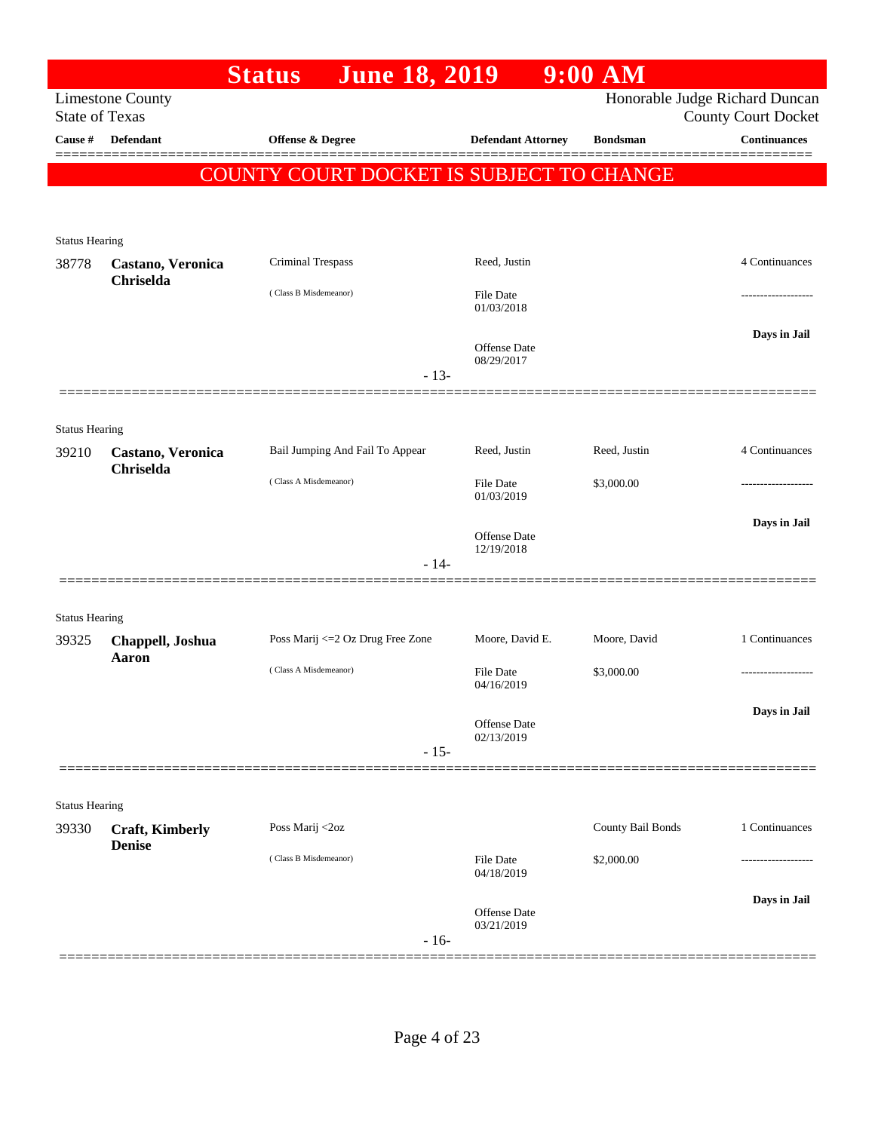|                       |                                         | <b>Status</b>                            | <b>June 18, 2019</b> |                                | $9:00$ AM         |                                                              |
|-----------------------|-----------------------------------------|------------------------------------------|----------------------|--------------------------------|-------------------|--------------------------------------------------------------|
| <b>State of Texas</b> | <b>Limestone County</b>                 |                                          |                      |                                |                   | Honorable Judge Richard Duncan<br><b>County Court Docket</b> |
| Cause #               | Defendant                               | Offense & Degree                         |                      | <b>Defendant Attorney</b>      | <b>Bondsman</b>   | <b>Continuances</b>                                          |
|                       |                                         | COUNTY COURT DOCKET IS SUBJECT TO CHANGE |                      |                                |                   |                                                              |
|                       |                                         |                                          |                      |                                |                   |                                                              |
| <b>Status Hearing</b> |                                         |                                          |                      |                                |                   |                                                              |
| 38778                 | Castano, Veronica<br>Chriselda          | Criminal Trespass                        |                      | Reed, Justin                   |                   | 4 Continuances                                               |
|                       |                                         | (Class B Misdemeanor)                    |                      | File Date<br>01/03/2018        |                   |                                                              |
|                       |                                         |                                          |                      | Offense Date<br>08/29/2017     |                   | Days in Jail                                                 |
|                       |                                         |                                          | $-13-$               |                                |                   |                                                              |
| <b>Status Hearing</b> |                                         |                                          |                      |                                |                   |                                                              |
| 39210                 | Castano, Veronica<br>Chriselda          | Bail Jumping And Fail To Appear          |                      | Reed, Justin                   | Reed, Justin      | 4 Continuances                                               |
|                       |                                         | (Class A Misdemeanor)                    |                      | File Date<br>01/03/2019        | \$3,000.00        |                                                              |
|                       |                                         |                                          |                      | Offense Date<br>12/19/2018     |                   | Days in Jail                                                 |
|                       |                                         |                                          | $-14-$               |                                |                   |                                                              |
| <b>Status Hearing</b> |                                         |                                          |                      |                                |                   |                                                              |
| 39325                 | Chappell, Joshua<br>Aaron               | Poss Marij <= 2 Oz Drug Free Zone        |                      | Moore, David E.                | Moore, David      | 1 Continuances                                               |
|                       |                                         | (Class A Misdemeanor)                    |                      | File Date<br>04/16/2019        | \$3,000.00        | -----------------                                            |
|                       |                                         |                                          |                      | Offense Date                   |                   | Days in Jail                                                 |
|                       |                                         |                                          | $-15-$               | 02/13/2019                     |                   |                                                              |
|                       |                                         |                                          |                      |                                |                   |                                                              |
| <b>Status Hearing</b> |                                         |                                          |                      |                                |                   |                                                              |
| 39330                 | <b>Craft, Kimberly</b><br><b>Denise</b> | Poss Marij <2oz                          |                      |                                | County Bail Bonds | 1 Continuances                                               |
|                       |                                         | (Class B Misdemeanor)                    |                      | <b>File Date</b><br>04/18/2019 | \$2,000.00        |                                                              |
|                       |                                         |                                          |                      | Offense Date<br>03/21/2019     |                   | Days in Jail                                                 |
|                       |                                         |                                          | $-16-$               |                                |                   |                                                              |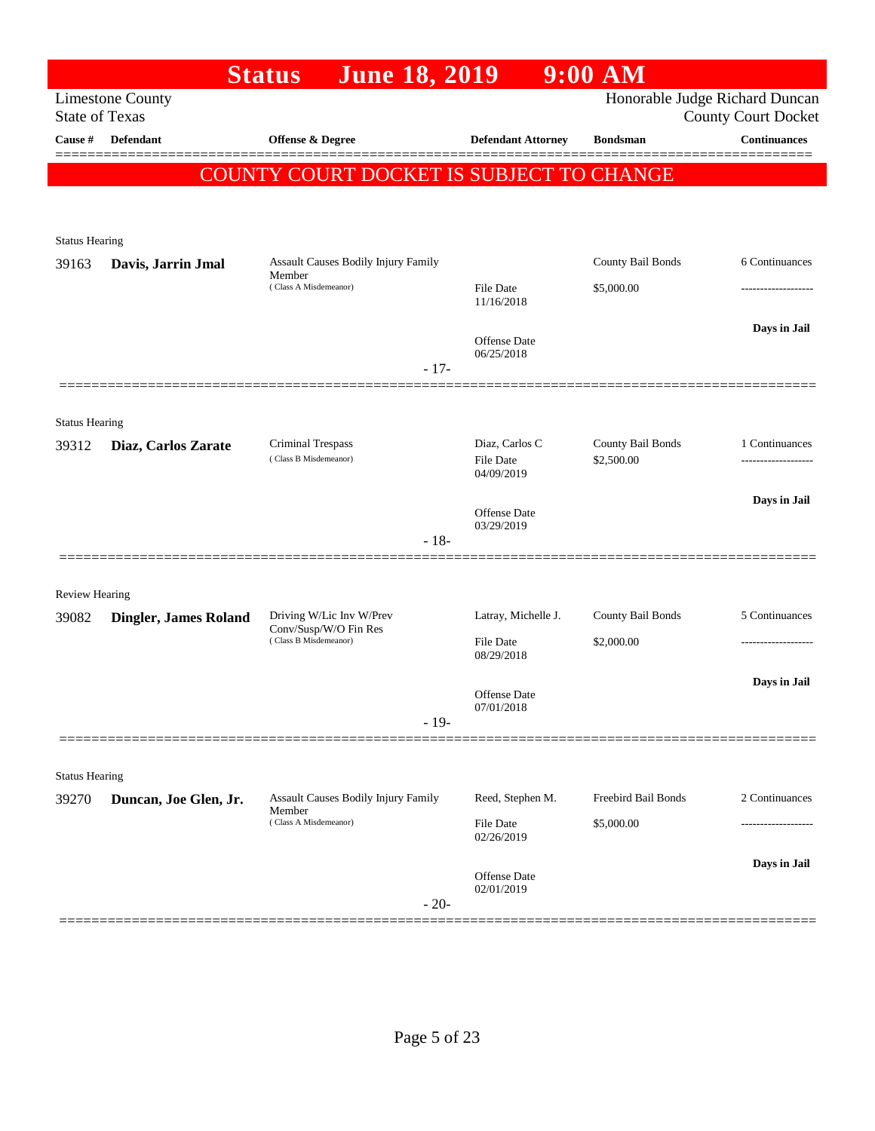|                                |                              | <b>June 18, 2019</b><br><b>Status</b>                |                                   | $9:00$ AM           |                                                              |
|--------------------------------|------------------------------|------------------------------------------------------|-----------------------------------|---------------------|--------------------------------------------------------------|
| <b>State of Texas</b>          | <b>Limestone County</b>      |                                                      |                                   |                     | Honorable Judge Richard Duncan<br><b>County Court Docket</b> |
| Cause #                        | <b>Defendant</b>             | Offense & Degree                                     | <b>Defendant Attorney</b>         | <b>Bondsman</b>     | <b>Continuances</b>                                          |
|                                |                              | <b>COUNTY COURT DOCKET IS SUBJECT TO CHANGE</b>      |                                   |                     |                                                              |
|                                |                              |                                                      |                                   |                     |                                                              |
| <b>Status Hearing</b>          |                              |                                                      |                                   |                     |                                                              |
| 39163                          | Davis, Jarrin Jmal           | Assault Causes Bodily Injury Family                  |                                   | County Bail Bonds   | 6 Continuances                                               |
|                                |                              | Member<br>(Class A Misdemeanor)                      | <b>File Date</b>                  | \$5,000.00          |                                                              |
|                                |                              |                                                      | 11/16/2018                        |                     | Days in Jail                                                 |
|                                |                              |                                                      | <b>Offense Date</b><br>06/25/2018 |                     |                                                              |
|                                |                              | $-17-$                                               |                                   |                     |                                                              |
|                                |                              |                                                      |                                   |                     |                                                              |
| <b>Status Hearing</b><br>39312 | Diaz, Carlos Zarate          | <b>Criminal Trespass</b>                             | Diaz, Carlos C                    | County Bail Bonds   | 1 Continuances                                               |
|                                |                              | (Class B Misdemeanor)                                | <b>File Date</b><br>04/09/2019    | \$2,500.00          | -------------------                                          |
|                                |                              |                                                      |                                   |                     | Days in Jail                                                 |
|                                |                              | $-18-$                                               | <b>Offense</b> Date<br>03/29/2019 |                     |                                                              |
|                                |                              |                                                      |                                   |                     |                                                              |
| Review Hearing                 |                              |                                                      |                                   |                     |                                                              |
| 39082                          | <b>Dingler, James Roland</b> | Driving W/Lic Inv W/Prev<br>Conv/Susp/W/O Fin Res    | Latray, Michelle J.               | County Bail Bonds   | 5 Continuances                                               |
|                                |                              | (Class B Misdemeanor)                                | <b>File Date</b><br>08/29/2018    | \$2,000.00          |                                                              |
|                                |                              |                                                      |                                   |                     | Days in Jail                                                 |
|                                |                              |                                                      | <b>Offense Date</b><br>07/01/2018 |                     |                                                              |
|                                |                              | $-19-$                                               |                                   |                     |                                                              |
| <b>Status Hearing</b>          |                              |                                                      |                                   |                     |                                                              |
| 39270                          | Duncan, Joe Glen, Jr.        | <b>Assault Causes Bodily Injury Family</b><br>Member | Reed, Stephen M.                  | Freebird Bail Bonds | 2 Continuances                                               |
|                                |                              | (Class A Misdemeanor)                                | File Date<br>02/26/2019           | \$5,000.00          |                                                              |
|                                |                              |                                                      |                                   |                     | Days in Jail                                                 |
|                                |                              |                                                      | Offense Date<br>02/01/2019        |                     |                                                              |
|                                |                              | $-20-$                                               |                                   |                     |                                                              |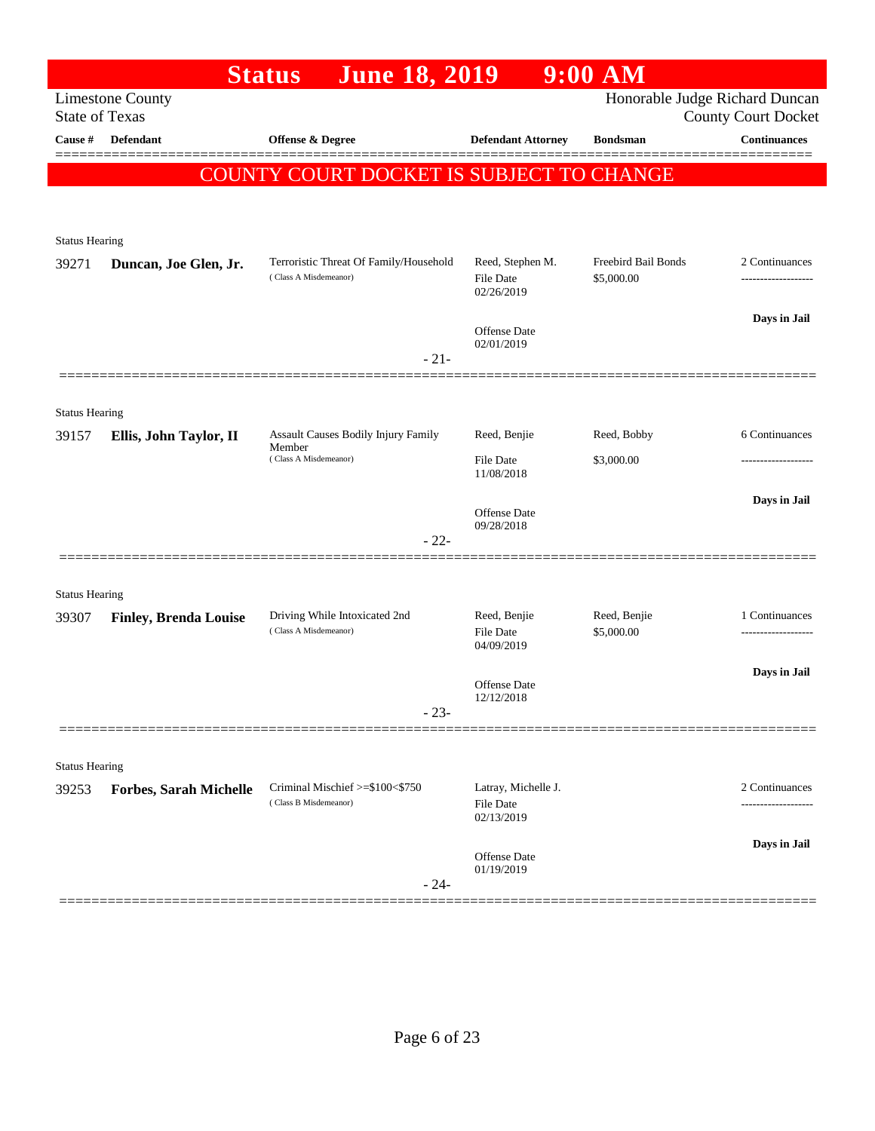|                       |                               | <b>June 18, 2019</b><br><b>Status</b>                           |                                   | $9:00$ AM                                |                                                              |
|-----------------------|-------------------------------|-----------------------------------------------------------------|-----------------------------------|------------------------------------------|--------------------------------------------------------------|
| <b>State of Texas</b> | <b>Limestone County</b>       |                                                                 |                                   |                                          | Honorable Judge Richard Duncan<br><b>County Court Docket</b> |
| Cause #               | Defendant                     | Offense & Degree                                                | <b>Defendant Attorney</b>         | <b>Bondsman</b>                          | <b>Continuances</b>                                          |
|                       |                               |                                                                 |                                   |                                          |                                                              |
|                       |                               | COUNTY COURT DOCKET IS SUBJECT TO CHANGE                        |                                   |                                          |                                                              |
|                       |                               |                                                                 |                                   |                                          |                                                              |
| <b>Status Hearing</b> |                               |                                                                 |                                   |                                          |                                                              |
| 39271                 | Duncan, Joe Glen, Jr.         | Terroristic Threat Of Family/Household<br>(Class A Misdemeanor) | Reed, Stephen M.<br>File Date     | <b>Freebird Bail Bonds</b><br>\$5,000.00 | 2 Continuances                                               |
|                       |                               |                                                                 | 02/26/2019                        |                                          |                                                              |
|                       |                               |                                                                 | <b>Offense Date</b>               |                                          | Days in Jail                                                 |
|                       |                               | $-21-$                                                          | 02/01/2019                        |                                          |                                                              |
|                       |                               |                                                                 |                                   |                                          |                                                              |
| <b>Status Hearing</b> |                               |                                                                 |                                   |                                          |                                                              |
| 39157                 | Ellis, John Taylor, II        | Assault Causes Bodily Injury Family<br>Member                   | Reed, Benjie                      | Reed, Bobby                              | 6 Continuances                                               |
|                       |                               | (Class A Misdemeanor)                                           | File Date                         | \$3,000.00                               |                                                              |
|                       |                               |                                                                 | 11/08/2018                        |                                          | Days in Jail                                                 |
|                       |                               |                                                                 | <b>Offense</b> Date<br>09/28/2018 |                                          |                                                              |
|                       |                               | $-22-$                                                          |                                   |                                          |                                                              |
|                       |                               |                                                                 |                                   |                                          |                                                              |
| <b>Status Hearing</b> |                               |                                                                 |                                   |                                          |                                                              |
| 39307                 | <b>Finley, Brenda Louise</b>  | Driving While Intoxicated 2nd<br>(Class A Misdemeanor)          | Reed, Benjie<br><b>File Date</b>  | Reed, Benjie<br>\$5,000.00               | 1 Continuances<br>                                           |
|                       |                               |                                                                 | 04/09/2019                        |                                          |                                                              |
|                       |                               |                                                                 | Offense Date                      |                                          | Days in Jail                                                 |
|                       |                               | $-23-$                                                          | 12/12/2018                        |                                          |                                                              |
|                       |                               |                                                                 |                                   |                                          |                                                              |
| <b>Status Hearing</b> |                               |                                                                 |                                   |                                          |                                                              |
| 39253                 | <b>Forbes, Sarah Michelle</b> | Criminal Mischief >=\$100<\$750<br>(Class B Misdemeanor)        | Latray, Michelle J.               |                                          | 2 Continuances                                               |
|                       |                               |                                                                 | File Date<br>02/13/2019           |                                          | .                                                            |
|                       |                               |                                                                 | <b>Offense Date</b>               |                                          | Days in Jail                                                 |
|                       |                               |                                                                 | 01/19/2019                        |                                          |                                                              |
|                       |                               | $-24-$                                                          |                                   |                                          |                                                              |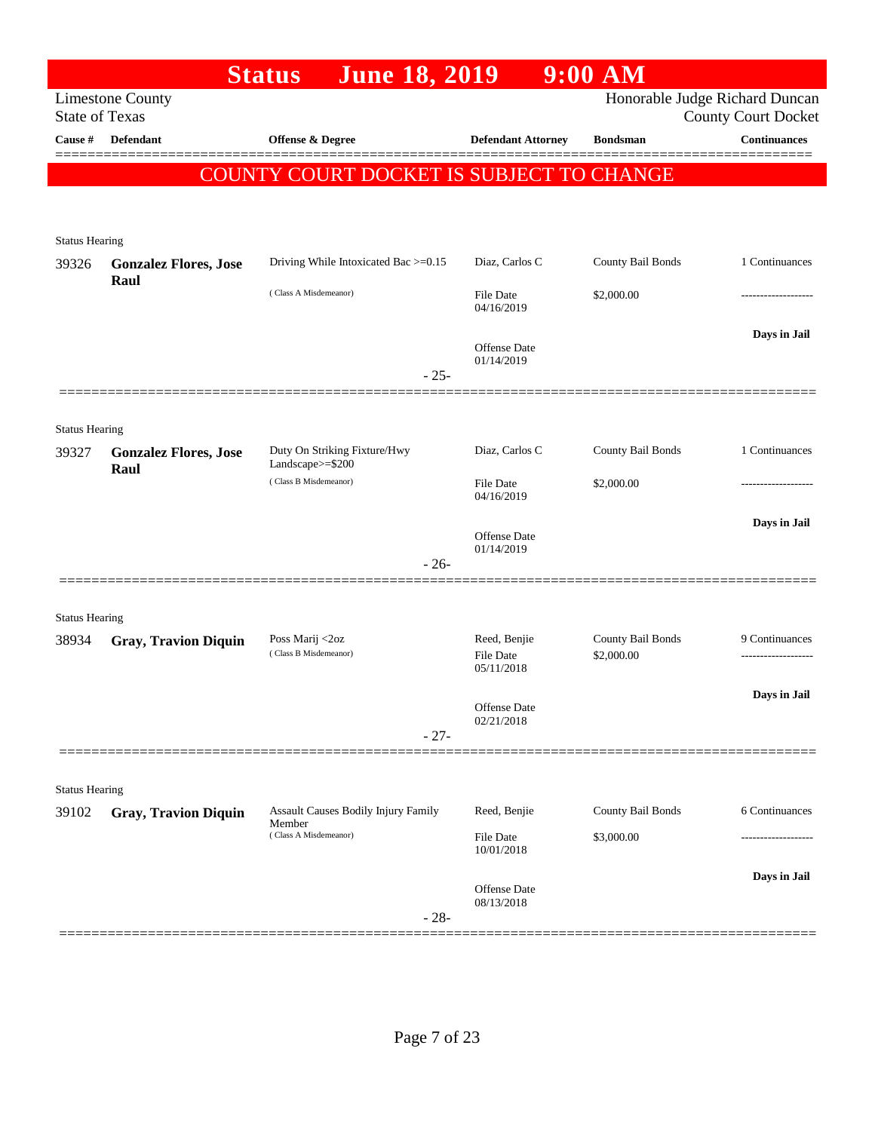|                                |                                                  | <b>June 18, 2019</b><br><b>Status</b>            |                                | $9:00$ AM                      |                            |
|--------------------------------|--------------------------------------------------|--------------------------------------------------|--------------------------------|--------------------------------|----------------------------|
|                                | <b>Limestone County</b><br><b>State of Texas</b> |                                                  |                                | Honorable Judge Richard Duncan | <b>County Court Docket</b> |
| Cause #                        | <b>Defendant</b>                                 | Offense & Degree                                 | <b>Defendant Attorney</b>      | <b>Bondsman</b>                | <b>Continuances</b>        |
|                                |                                                  | COUNTY COURT DOCKET IS SUBJECT TO CHANGE         |                                |                                |                            |
|                                |                                                  |                                                  |                                |                                |                            |
| <b>Status Hearing</b>          |                                                  |                                                  |                                |                                |                            |
| 39326                          | <b>Gonzalez Flores, Jose</b>                     | Driving While Intoxicated Bac >=0.15             | Diaz, Carlos C                 | County Bail Bonds              | 1 Continuances             |
|                                | Raul                                             | (Class A Misdemeanor)                            | <b>File Date</b><br>04/16/2019 | \$2,000.00                     |                            |
|                                |                                                  |                                                  | Offense Date<br>01/14/2019     |                                | Days in Jail               |
|                                |                                                  | $-25-$                                           |                                |                                |                            |
| <b>Status Hearing</b>          |                                                  |                                                  |                                |                                |                            |
| 39327                          | <b>Gonzalez Flores, Jose</b>                     | Duty On Striking Fixture/Hwy<br>Landscape>=\$200 | Diaz, Carlos C                 | County Bail Bonds              | 1 Continuances             |
|                                | Raul                                             | (Class B Misdemeanor)                            | <b>File Date</b><br>04/16/2019 | \$2,000.00                     |                            |
|                                |                                                  |                                                  | Offense Date                   |                                | Days in Jail               |
|                                |                                                  | $-26-$                                           | 01/14/2019                     |                                |                            |
|                                |                                                  |                                                  |                                |                                |                            |
| <b>Status Hearing</b><br>38934 | <b>Gray, Travion Diquin</b>                      | Poss Marij <2oz                                  | Reed, Benjie                   | County Bail Bonds              | 9 Continuances             |
|                                |                                                  | (Class B Misdemeanor)                            | File Date<br>05/11/2018        | \$2,000.00                     |                            |
|                                |                                                  |                                                  | Offense Date                   |                                | Days in Jail               |
|                                |                                                  | $-27-$                                           | 02/21/2018                     |                                |                            |
|                                |                                                  |                                                  |                                |                                |                            |
| <b>Status Hearing</b><br>39102 | <b>Gray, Travion Diquin</b>                      | Assault Causes Bodily Injury Family              | Reed, Benjie                   | County Bail Bonds              | 6 Continuances             |
|                                |                                                  | Member<br>(Class A Misdemeanor)                  | <b>File Date</b><br>10/01/2018 | \$3,000.00                     |                            |
|                                |                                                  |                                                  | Offense Date                   |                                | Days in Jail               |
|                                |                                                  | $-28-$                                           | 08/13/2018                     |                                |                            |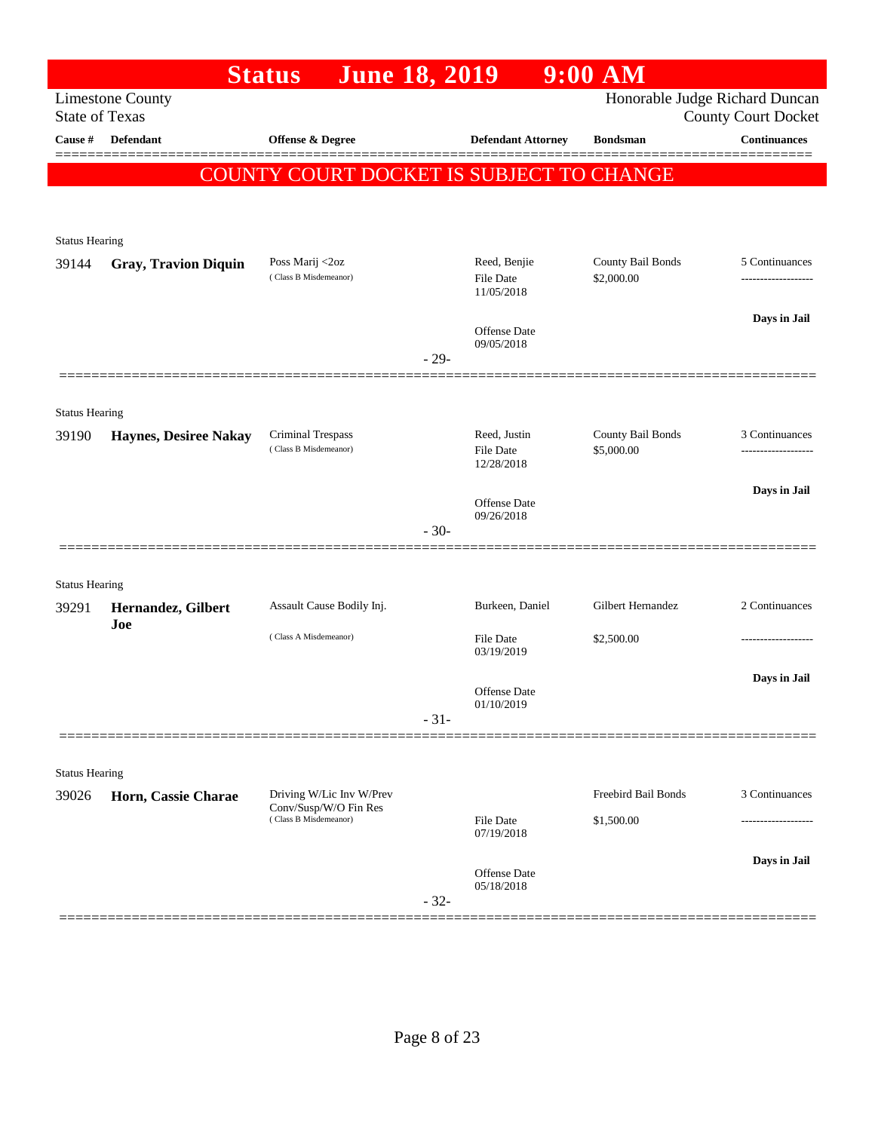|                       |                              | <b>Status</b><br><b>June 18, 2019</b>             |        |                                         | $9:00$ AM                       |                                                              |
|-----------------------|------------------------------|---------------------------------------------------|--------|-----------------------------------------|---------------------------------|--------------------------------------------------------------|
| <b>State of Texas</b> | <b>Limestone County</b>      |                                                   |        |                                         |                                 | Honorable Judge Richard Duncan<br><b>County Court Docket</b> |
| Cause #               | <b>Defendant</b>             | Offense & Degree                                  |        | <b>Defendant Attorney</b>               | <b>Bondsman</b>                 | <b>Continuances</b>                                          |
|                       |                              | COUNTY COURT DOCKET IS SUBJECT TO CHANGE          |        |                                         |                                 |                                                              |
|                       |                              |                                                   |        |                                         |                                 |                                                              |
|                       |                              |                                                   |        |                                         |                                 |                                                              |
| <b>Status Hearing</b> |                              |                                                   |        |                                         |                                 |                                                              |
| 39144                 | <b>Gray, Travion Diquin</b>  | Poss Marij <2oz<br>(Class B Misdemeanor)          |        | Reed, Benjie<br>File Date<br>11/05/2018 | County Bail Bonds<br>\$2,000.00 | 5 Continuances                                               |
|                       |                              |                                                   |        |                                         |                                 | Days in Jail                                                 |
|                       |                              |                                                   | $-29-$ | Offense Date<br>09/05/2018              |                                 |                                                              |
|                       | ==============               |                                                   |        |                                         |                                 |                                                              |
| <b>Status Hearing</b> |                              |                                                   |        |                                         |                                 |                                                              |
| 39190                 | <b>Haynes, Desiree Nakay</b> | Criminal Trespass                                 |        | Reed, Justin                            | County Bail Bonds               | 3 Continuances                                               |
|                       |                              | (Class B Misdemeanor)                             |        | File Date<br>12/28/2018                 | \$5,000.00                      | .                                                            |
|                       |                              |                                                   |        |                                         |                                 | Days in Jail                                                 |
|                       |                              |                                                   |        | <b>Offense Date</b><br>09/26/2018       |                                 |                                                              |
|                       |                              |                                                   | $-30-$ |                                         |                                 |                                                              |
|                       |                              |                                                   |        |                                         |                                 |                                                              |
| <b>Status Hearing</b> |                              |                                                   |        |                                         |                                 |                                                              |
| 39291                 | Hernandez, Gilbert<br>Joe    | Assault Cause Bodily Inj.                         |        | Burkeen, Daniel                         | Gilbert Hernandez               | 2 Continuances                                               |
|                       |                              | (Class A Misdemeanor)                             |        | File Date<br>03/19/2019                 | \$2,500.00                      |                                                              |
|                       |                              |                                                   |        |                                         |                                 | Days in Jail                                                 |
|                       |                              |                                                   |        | Offense Date                            |                                 |                                                              |
|                       |                              |                                                   | $-31-$ | 01/10/2019                              |                                 |                                                              |
|                       |                              |                                                   |        |                                         |                                 |                                                              |
| <b>Status Hearing</b> |                              |                                                   |        |                                         |                                 |                                                              |
| 39026                 | Horn, Cassie Charae          | Driving W/Lic Inv W/Prev<br>Conv/Susp/W/O Fin Res |        |                                         | Freebird Bail Bonds             | 3 Continuances                                               |
|                       |                              | (Class B Misdemeanor)                             |        | <b>File Date</b><br>07/19/2018          | \$1,500.00                      |                                                              |
|                       |                              |                                                   |        |                                         |                                 |                                                              |
|                       |                              |                                                   |        | Offense Date<br>05/18/2018              |                                 | Days in Jail                                                 |
|                       |                              |                                                   | $-32-$ |                                         |                                 |                                                              |
|                       |                              |                                                   |        |                                         |                                 |                                                              |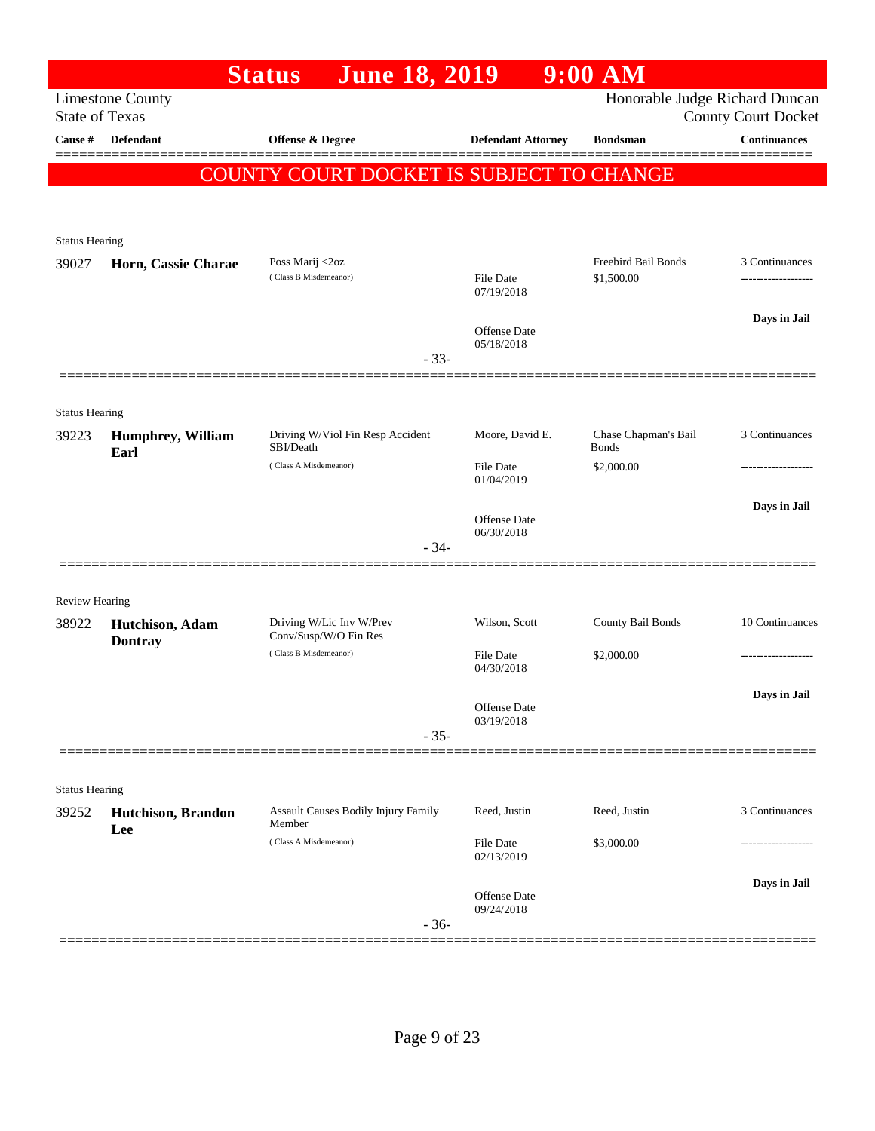| Honorable Judge Richard Duncan<br><b>Limestone County</b><br><b>State of Texas</b><br><b>County Court Docket</b><br><b>Continuances</b><br>Cause #<br>Defendant<br><b>Offense &amp; Degree</b><br><b>Defendant Attorney</b><br><b>Bondsman</b><br>COUNTY COURT DOCKET IS SUBJECT TO CHANGE<br><b>Status Hearing</b><br>Freebird Bail Bonds<br>Poss Marij <2oz<br>3 Continuances<br>39027<br>Horn, Cassie Charae<br>(Class B Misdemeanor)<br>\$1,500.00<br>File Date<br>07/19/2018<br>Days in Jail<br>Offense Date<br>05/18/2018<br>$-33-$<br><b>Status Hearing</b><br>Chase Chapman's Bail<br>3 Continuances<br>Driving W/Viol Fin Resp Accident<br>Moore, David E.<br>39223<br><b>Humphrey, William</b><br>SBI/Death<br><b>Bonds</b><br>Earl<br>(Class A Misdemeanor)<br>\$2,000.00<br>File Date<br>.<br>01/04/2019<br>Days in Jail<br>Offense Date<br>06/30/2018<br>$-34-$<br><b>Review Hearing</b><br>County Bail Bonds<br>Driving W/Lic Inv W/Prev<br>Wilson, Scott<br>38922<br>Hutchison, Adam<br>Conv/Susp/W/O Fin Res<br><b>Dontray</b><br>(Class B Misdemeanor)<br>\$2,000.00<br>File Date<br>.<br>04/30/2018<br>Days in Jail<br>Offense Date<br>03/19/2018<br>$-35-$<br><b>Status Hearing</b><br>3 Continuances<br>Assault Causes Bodily Injury Family<br>Reed, Justin<br>Reed, Justin<br>39252<br>Hutchison, Brandon<br>Member<br>Lee<br>(Class A Misdemeanor)<br>\$3,000.00<br>File Date<br>02/13/2019<br>Days in Jail<br>Offense Date<br>09/24/2018<br>$-36-$ |  | <b>June 18, 2019</b><br><b>Status</b> | $9:00$ AM |                 |
|---------------------------------------------------------------------------------------------------------------------------------------------------------------------------------------------------------------------------------------------------------------------------------------------------------------------------------------------------------------------------------------------------------------------------------------------------------------------------------------------------------------------------------------------------------------------------------------------------------------------------------------------------------------------------------------------------------------------------------------------------------------------------------------------------------------------------------------------------------------------------------------------------------------------------------------------------------------------------------------------------------------------------------------------------------------------------------------------------------------------------------------------------------------------------------------------------------------------------------------------------------------------------------------------------------------------------------------------------------------------------------------------------------------------------------------------------------------------------|--|---------------------------------------|-----------|-----------------|
|                                                                                                                                                                                                                                                                                                                                                                                                                                                                                                                                                                                                                                                                                                                                                                                                                                                                                                                                                                                                                                                                                                                                                                                                                                                                                                                                                                                                                                                                           |  |                                       |           |                 |
|                                                                                                                                                                                                                                                                                                                                                                                                                                                                                                                                                                                                                                                                                                                                                                                                                                                                                                                                                                                                                                                                                                                                                                                                                                                                                                                                                                                                                                                                           |  |                                       |           |                 |
|                                                                                                                                                                                                                                                                                                                                                                                                                                                                                                                                                                                                                                                                                                                                                                                                                                                                                                                                                                                                                                                                                                                                                                                                                                                                                                                                                                                                                                                                           |  |                                       |           |                 |
|                                                                                                                                                                                                                                                                                                                                                                                                                                                                                                                                                                                                                                                                                                                                                                                                                                                                                                                                                                                                                                                                                                                                                                                                                                                                                                                                                                                                                                                                           |  |                                       |           |                 |
|                                                                                                                                                                                                                                                                                                                                                                                                                                                                                                                                                                                                                                                                                                                                                                                                                                                                                                                                                                                                                                                                                                                                                                                                                                                                                                                                                                                                                                                                           |  |                                       |           |                 |
|                                                                                                                                                                                                                                                                                                                                                                                                                                                                                                                                                                                                                                                                                                                                                                                                                                                                                                                                                                                                                                                                                                                                                                                                                                                                                                                                                                                                                                                                           |  |                                       |           |                 |
|                                                                                                                                                                                                                                                                                                                                                                                                                                                                                                                                                                                                                                                                                                                                                                                                                                                                                                                                                                                                                                                                                                                                                                                                                                                                                                                                                                                                                                                                           |  |                                       |           |                 |
|                                                                                                                                                                                                                                                                                                                                                                                                                                                                                                                                                                                                                                                                                                                                                                                                                                                                                                                                                                                                                                                                                                                                                                                                                                                                                                                                                                                                                                                                           |  |                                       |           |                 |
|                                                                                                                                                                                                                                                                                                                                                                                                                                                                                                                                                                                                                                                                                                                                                                                                                                                                                                                                                                                                                                                                                                                                                                                                                                                                                                                                                                                                                                                                           |  |                                       |           |                 |
|                                                                                                                                                                                                                                                                                                                                                                                                                                                                                                                                                                                                                                                                                                                                                                                                                                                                                                                                                                                                                                                                                                                                                                                                                                                                                                                                                                                                                                                                           |  |                                       |           |                 |
|                                                                                                                                                                                                                                                                                                                                                                                                                                                                                                                                                                                                                                                                                                                                                                                                                                                                                                                                                                                                                                                                                                                                                                                                                                                                                                                                                                                                                                                                           |  |                                       |           |                 |
|                                                                                                                                                                                                                                                                                                                                                                                                                                                                                                                                                                                                                                                                                                                                                                                                                                                                                                                                                                                                                                                                                                                                                                                                                                                                                                                                                                                                                                                                           |  |                                       |           |                 |
|                                                                                                                                                                                                                                                                                                                                                                                                                                                                                                                                                                                                                                                                                                                                                                                                                                                                                                                                                                                                                                                                                                                                                                                                                                                                                                                                                                                                                                                                           |  |                                       |           |                 |
|                                                                                                                                                                                                                                                                                                                                                                                                                                                                                                                                                                                                                                                                                                                                                                                                                                                                                                                                                                                                                                                                                                                                                                                                                                                                                                                                                                                                                                                                           |  |                                       |           |                 |
|                                                                                                                                                                                                                                                                                                                                                                                                                                                                                                                                                                                                                                                                                                                                                                                                                                                                                                                                                                                                                                                                                                                                                                                                                                                                                                                                                                                                                                                                           |  |                                       |           |                 |
|                                                                                                                                                                                                                                                                                                                                                                                                                                                                                                                                                                                                                                                                                                                                                                                                                                                                                                                                                                                                                                                                                                                                                                                                                                                                                                                                                                                                                                                                           |  |                                       |           |                 |
|                                                                                                                                                                                                                                                                                                                                                                                                                                                                                                                                                                                                                                                                                                                                                                                                                                                                                                                                                                                                                                                                                                                                                                                                                                                                                                                                                                                                                                                                           |  |                                       |           |                 |
|                                                                                                                                                                                                                                                                                                                                                                                                                                                                                                                                                                                                                                                                                                                                                                                                                                                                                                                                                                                                                                                                                                                                                                                                                                                                                                                                                                                                                                                                           |  |                                       |           |                 |
|                                                                                                                                                                                                                                                                                                                                                                                                                                                                                                                                                                                                                                                                                                                                                                                                                                                                                                                                                                                                                                                                                                                                                                                                                                                                                                                                                                                                                                                                           |  |                                       |           |                 |
|                                                                                                                                                                                                                                                                                                                                                                                                                                                                                                                                                                                                                                                                                                                                                                                                                                                                                                                                                                                                                                                                                                                                                                                                                                                                                                                                                                                                                                                                           |  |                                       |           |                 |
|                                                                                                                                                                                                                                                                                                                                                                                                                                                                                                                                                                                                                                                                                                                                                                                                                                                                                                                                                                                                                                                                                                                                                                                                                                                                                                                                                                                                                                                                           |  |                                       |           | 10 Continuances |
|                                                                                                                                                                                                                                                                                                                                                                                                                                                                                                                                                                                                                                                                                                                                                                                                                                                                                                                                                                                                                                                                                                                                                                                                                                                                                                                                                                                                                                                                           |  |                                       |           |                 |
|                                                                                                                                                                                                                                                                                                                                                                                                                                                                                                                                                                                                                                                                                                                                                                                                                                                                                                                                                                                                                                                                                                                                                                                                                                                                                                                                                                                                                                                                           |  |                                       |           |                 |
|                                                                                                                                                                                                                                                                                                                                                                                                                                                                                                                                                                                                                                                                                                                                                                                                                                                                                                                                                                                                                                                                                                                                                                                                                                                                                                                                                                                                                                                                           |  |                                       |           |                 |
|                                                                                                                                                                                                                                                                                                                                                                                                                                                                                                                                                                                                                                                                                                                                                                                                                                                                                                                                                                                                                                                                                                                                                                                                                                                                                                                                                                                                                                                                           |  |                                       |           |                 |
|                                                                                                                                                                                                                                                                                                                                                                                                                                                                                                                                                                                                                                                                                                                                                                                                                                                                                                                                                                                                                                                                                                                                                                                                                                                                                                                                                                                                                                                                           |  |                                       |           |                 |
|                                                                                                                                                                                                                                                                                                                                                                                                                                                                                                                                                                                                                                                                                                                                                                                                                                                                                                                                                                                                                                                                                                                                                                                                                                                                                                                                                                                                                                                                           |  |                                       |           |                 |
|                                                                                                                                                                                                                                                                                                                                                                                                                                                                                                                                                                                                                                                                                                                                                                                                                                                                                                                                                                                                                                                                                                                                                                                                                                                                                                                                                                                                                                                                           |  |                                       |           |                 |
|                                                                                                                                                                                                                                                                                                                                                                                                                                                                                                                                                                                                                                                                                                                                                                                                                                                                                                                                                                                                                                                                                                                                                                                                                                                                                                                                                                                                                                                                           |  |                                       |           |                 |
|                                                                                                                                                                                                                                                                                                                                                                                                                                                                                                                                                                                                                                                                                                                                                                                                                                                                                                                                                                                                                                                                                                                                                                                                                                                                                                                                                                                                                                                                           |  |                                       |           |                 |
|                                                                                                                                                                                                                                                                                                                                                                                                                                                                                                                                                                                                                                                                                                                                                                                                                                                                                                                                                                                                                                                                                                                                                                                                                                                                                                                                                                                                                                                                           |  |                                       |           |                 |
|                                                                                                                                                                                                                                                                                                                                                                                                                                                                                                                                                                                                                                                                                                                                                                                                                                                                                                                                                                                                                                                                                                                                                                                                                                                                                                                                                                                                                                                                           |  |                                       |           |                 |
|                                                                                                                                                                                                                                                                                                                                                                                                                                                                                                                                                                                                                                                                                                                                                                                                                                                                                                                                                                                                                                                                                                                                                                                                                                                                                                                                                                                                                                                                           |  |                                       |           |                 |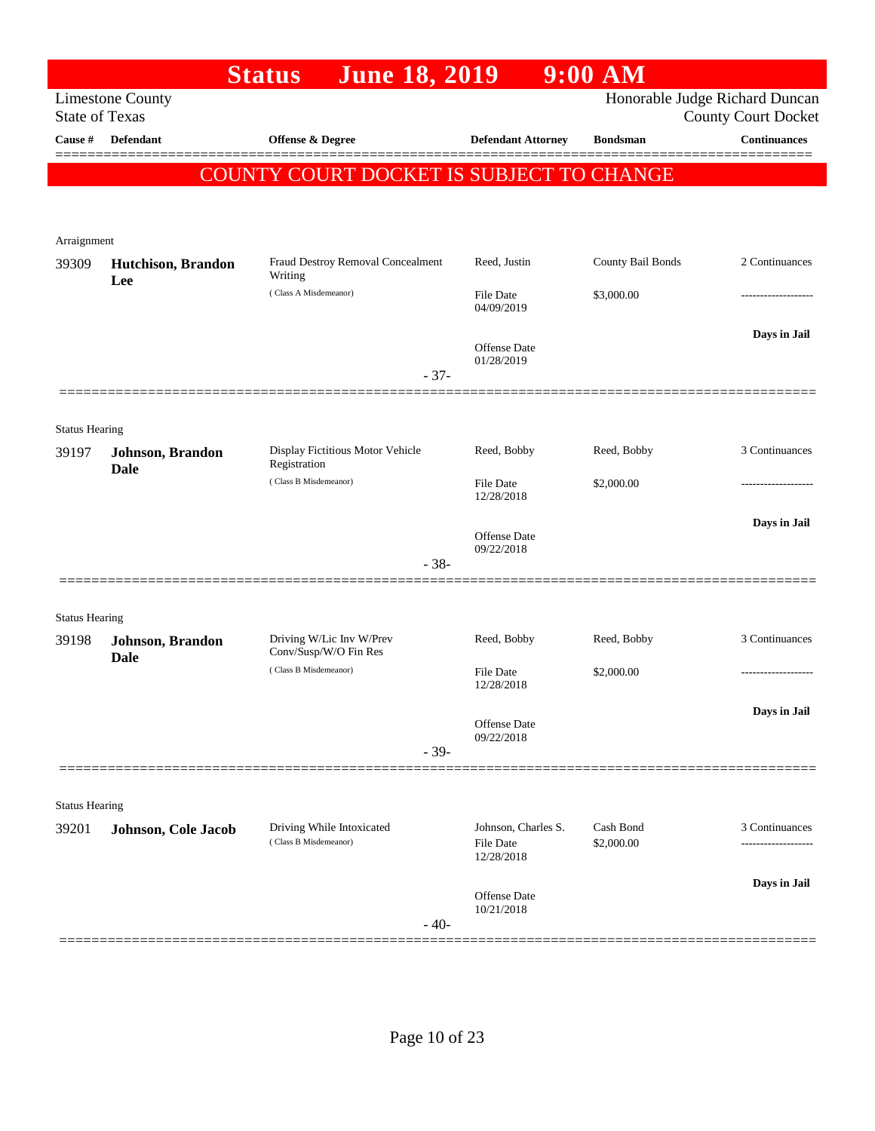|                                |                                 | <b>Status</b><br><b>June 18, 2019</b>             |                                | $9:00$ AM         |                                                              |
|--------------------------------|---------------------------------|---------------------------------------------------|--------------------------------|-------------------|--------------------------------------------------------------|
| <b>State of Texas</b>          | <b>Limestone County</b>         |                                                   |                                |                   | Honorable Judge Richard Duncan<br><b>County Court Docket</b> |
| Cause #                        | <b>Defendant</b>                | <b>Offense &amp; Degree</b>                       | <b>Defendant Attorney</b>      | <b>Bondsman</b>   | <b>Continuances</b>                                          |
|                                |                                 | COUNTY COURT DOCKET IS SUBJECT TO CHANGE          |                                |                   | =======                                                      |
|                                |                                 |                                                   |                                |                   |                                                              |
| Arraignment                    |                                 |                                                   |                                |                   |                                                              |
| 39309                          | Hutchison, Brandon<br>Lee       | Fraud Destroy Removal Concealment<br>Writing      | Reed, Justin                   | County Bail Bonds | 2 Continuances                                               |
|                                |                                 | (Class A Misdemeanor)                             | <b>File Date</b><br>04/09/2019 | \$3,000.00        |                                                              |
|                                |                                 |                                                   | Offense Date<br>01/28/2019     |                   | Days in Jail                                                 |
|                                |                                 | $-37-$                                            |                                |                   |                                                              |
| <b>Status Hearing</b>          |                                 |                                                   |                                |                   |                                                              |
| 39197                          | Johnson, Brandon<br><b>Dale</b> | Display Fictitious Motor Vehicle<br>Registration  | Reed, Bobby                    | Reed, Bobby       | 3 Continuances                                               |
|                                |                                 | (Class B Misdemeanor)                             | <b>File Date</b><br>12/28/2018 | \$2,000.00        |                                                              |
|                                |                                 |                                                   | Offense Date                   |                   | Days in Jail                                                 |
|                                |                                 | $-38-$                                            | 09/22/2018                     |                   |                                                              |
| <b>Status Hearing</b>          |                                 |                                                   |                                |                   |                                                              |
| 39198                          | Johnson, Brandon<br><b>Dale</b> | Driving W/Lic Inv W/Prev<br>Conv/Susp/W/O Fin Res | Reed, Bobby                    | Reed, Bobby       | 3 Continuances                                               |
|                                |                                 | (Class B Misdemeanor)                             | File Date<br>12/28/2018        | \$2,000.00        |                                                              |
|                                |                                 |                                                   | Offense Date                   |                   | Days in Jail                                                 |
|                                |                                 | $-39-$                                            | 09/22/2018                     |                   |                                                              |
|                                |                                 |                                                   |                                |                   |                                                              |
| <b>Status Hearing</b><br>39201 | Johnson, Cole Jacob             | Driving While Intoxicated                         | Johnson, Charles S.            | Cash Bond         | 3 Continuances                                               |
|                                |                                 | (Class B Misdemeanor)                             | <b>File Date</b><br>12/28/2018 | \$2,000.00        | .                                                            |
|                                |                                 |                                                   | Offense Date                   |                   | Days in Jail                                                 |
|                                |                                 | $-40-$                                            | 10/21/2018                     |                   |                                                              |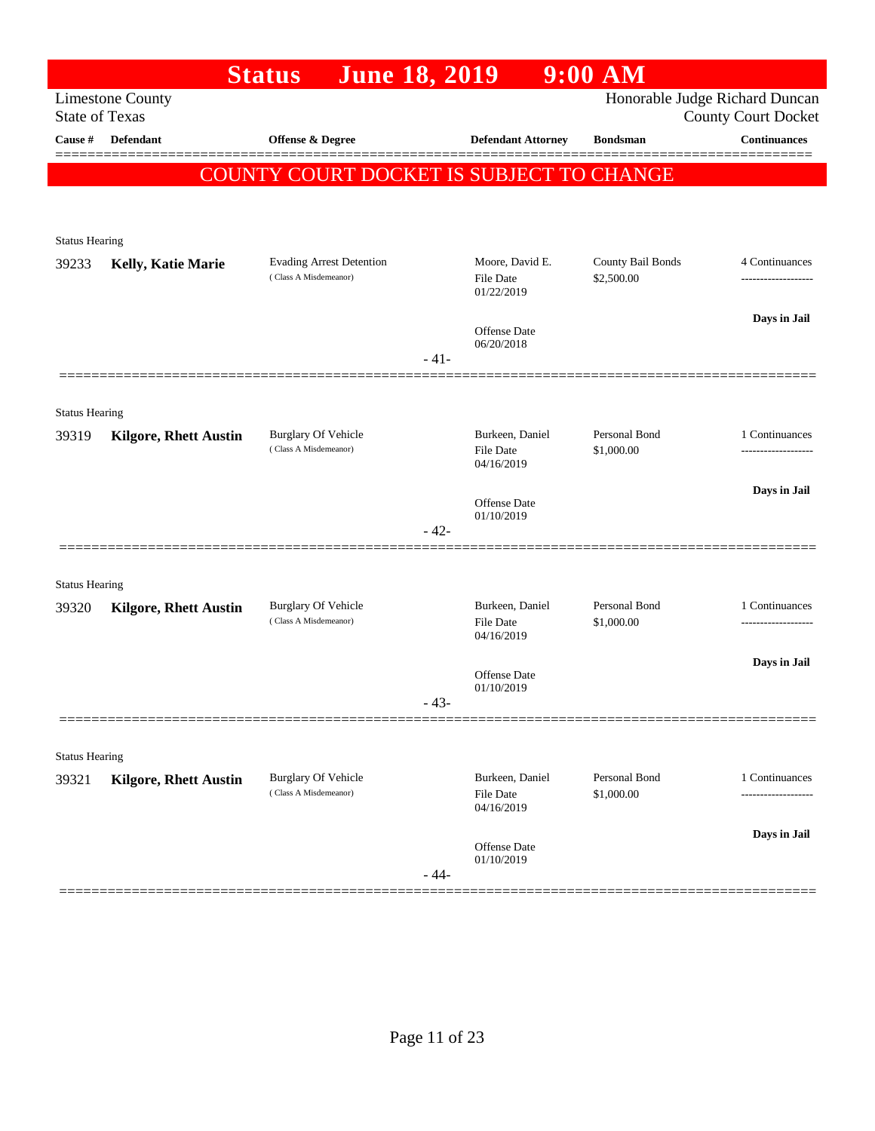|                       |                              | <b>June 18, 2019</b><br><b>Status</b>                    |        |                                            | $9:00$ AM                       |                                                              |
|-----------------------|------------------------------|----------------------------------------------------------|--------|--------------------------------------------|---------------------------------|--------------------------------------------------------------|
| <b>State of Texas</b> | <b>Limestone County</b>      |                                                          |        |                                            |                                 | Honorable Judge Richard Duncan<br><b>County Court Docket</b> |
| Cause #               | Defendant                    | Offense & Degree                                         |        | <b>Defendant Attorney</b>                  | <b>Bondsman</b>                 | <b>Continuances</b>                                          |
|                       |                              |                                                          |        |                                            |                                 |                                                              |
|                       |                              | COUNTY COURT DOCKET IS SUBJECT TO CHANGE                 |        |                                            |                                 |                                                              |
|                       |                              |                                                          |        |                                            |                                 |                                                              |
| <b>Status Hearing</b> |                              |                                                          |        |                                            |                                 |                                                              |
| 39233                 | <b>Kelly, Katie Marie</b>    | <b>Evading Arrest Detention</b><br>(Class A Misdemeanor) |        | Moore, David E.<br>File Date<br>01/22/2019 | County Bail Bonds<br>\$2,500.00 | 4 Continuances<br>-------------------                        |
|                       |                              |                                                          |        | <b>Offense</b> Date                        |                                 | Days in Jail                                                 |
|                       |                              |                                                          | $-41-$ | 06/20/2018                                 |                                 |                                                              |
|                       |                              |                                                          |        |                                            |                                 |                                                              |
| <b>Status Hearing</b> |                              |                                                          |        |                                            |                                 |                                                              |
| 39319                 | <b>Kilgore, Rhett Austin</b> | <b>Burglary Of Vehicle</b><br>(Class A Misdemeanor)      |        | Burkeen, Daniel                            | Personal Bond                   | 1 Continuances                                               |
|                       |                              |                                                          |        | File Date<br>04/16/2019                    | \$1,000.00                      |                                                              |
|                       |                              |                                                          |        | <b>Offense</b> Date                        |                                 | Days in Jail                                                 |
|                       |                              |                                                          | $-42-$ | 01/10/2019                                 |                                 |                                                              |
|                       |                              |                                                          |        |                                            |                                 |                                                              |
| <b>Status Hearing</b> |                              |                                                          |        |                                            |                                 |                                                              |
| 39320                 | <b>Kilgore, Rhett Austin</b> | <b>Burglary Of Vehicle</b>                               |        | Burkeen, Daniel                            | Personal Bond                   | 1 Continuances                                               |
|                       |                              | (Class A Misdemeanor)                                    |        | File Date<br>04/16/2019                    | \$1,000.00                      |                                                              |
|                       |                              |                                                          |        | Offense Date                               |                                 | Days in Jail                                                 |
|                       |                              |                                                          | $-43-$ | 01/10/2019                                 |                                 |                                                              |
|                       |                              |                                                          |        |                                            |                                 |                                                              |
| <b>Status Hearing</b> |                              |                                                          |        |                                            |                                 |                                                              |
| 39321                 | <b>Kilgore, Rhett Austin</b> | <b>Burglary Of Vehicle</b>                               |        | Burkeen, Daniel                            | Personal Bond                   | 1 Continuances                                               |
|                       |                              | (Class A Misdemeanor)                                    |        | <b>File Date</b><br>04/16/2019             | \$1,000.00                      | -----------                                                  |
|                       |                              |                                                          |        |                                            |                                 | Days in Jail                                                 |
|                       |                              |                                                          |        | Offense Date<br>01/10/2019                 |                                 |                                                              |
|                       |                              |                                                          | $-44-$ |                                            |                                 |                                                              |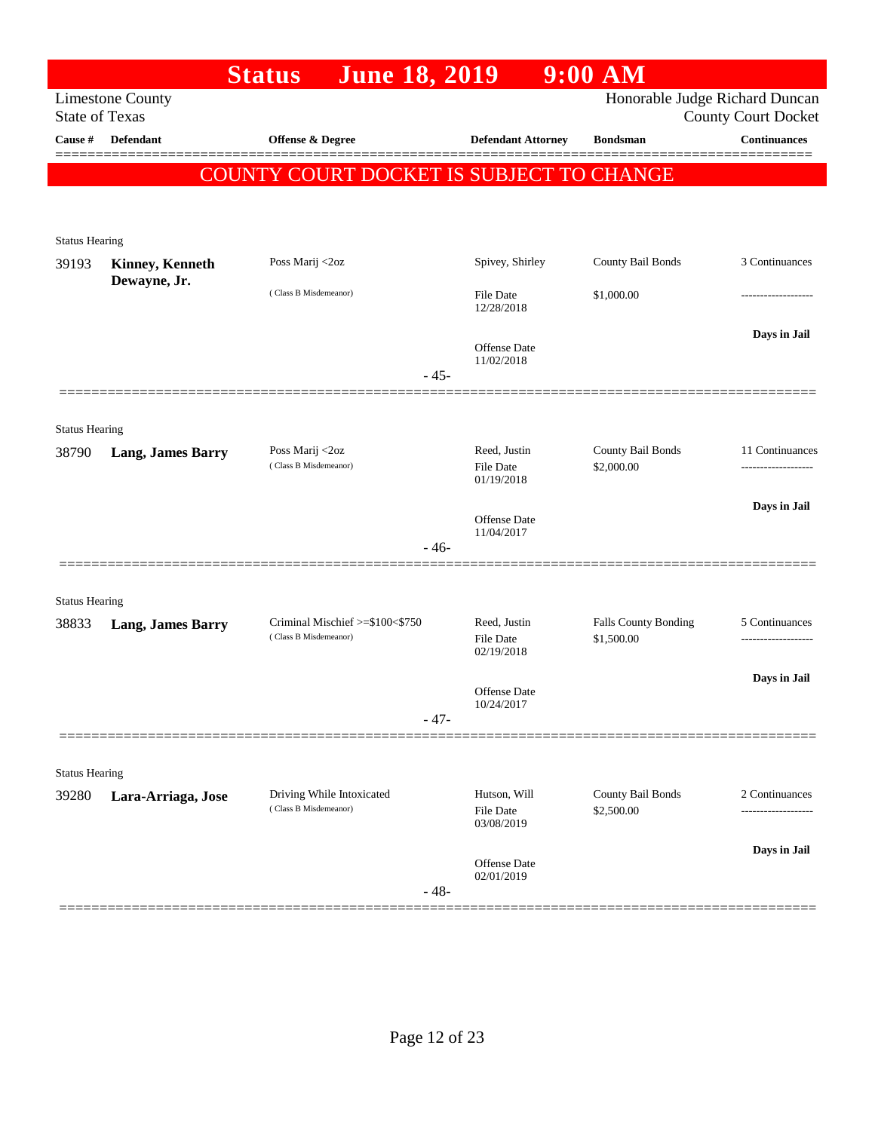|                                |                                        | <b>June 18, 2019</b><br><b>Status</b>                    |                                         | $9:00$ AM                          |                            |
|--------------------------------|----------------------------------------|----------------------------------------------------------|-----------------------------------------|------------------------------------|----------------------------|
| <b>State of Texas</b>          | <b>Limestone County</b>                |                                                          |                                         | Honorable Judge Richard Duncan     | <b>County Court Docket</b> |
| Cause #                        | <b>Defendant</b>                       | <b>Offense &amp; Degree</b>                              | <b>Defendant Attorney</b>               | <b>Bondsman</b>                    | <b>Continuances</b>        |
|                                |                                        | COUNTY COURT DOCKET IS SUBJECT TO CHANGE                 |                                         |                                    |                            |
|                                |                                        |                                                          |                                         |                                    |                            |
| <b>Status Hearing</b>          |                                        |                                                          |                                         |                                    |                            |
| 39193                          | <b>Kinney, Kenneth</b><br>Dewayne, Jr. | Poss Marij <2oz                                          | Spivey, Shirley                         | County Bail Bonds                  | 3 Continuances             |
|                                |                                        | (Class B Misdemeanor)                                    | <b>File Date</b><br>12/28/2018          | \$1,000.00                         | .                          |
|                                |                                        |                                                          | Offense Date<br>11/02/2018              |                                    | Days in Jail               |
|                                |                                        | $-45-$                                                   |                                         |                                    |                            |
|                                |                                        |                                                          |                                         |                                    |                            |
| <b>Status Hearing</b><br>38790 | <b>Lang, James Barry</b>               | Poss Marij <2oz                                          | Reed, Justin                            | County Bail Bonds                  | 11 Continuances            |
|                                |                                        | (Class B Misdemeanor)                                    | <b>File Date</b><br>01/19/2018          | \$2,000.00                         | .                          |
|                                |                                        |                                                          | Offense Date                            |                                    | Days in Jail               |
|                                |                                        | $-46-$                                                   | 11/04/2017                              |                                    |                            |
|                                |                                        |                                                          |                                         |                                    |                            |
| <b>Status Hearing</b>          |                                        |                                                          |                                         |                                    |                            |
| 38833                          | <b>Lang, James Barry</b>               | Criminal Mischief >=\$100<\$750<br>(Class B Misdemeanor) | Reed, Justin<br>File Date<br>02/19/2018 | Falls County Bonding<br>\$1,500.00 | 5 Continuances             |
|                                |                                        |                                                          |                                         |                                    | Days in Jail               |
|                                |                                        |                                                          | <b>Offense Date</b><br>10/24/2017       |                                    |                            |
|                                |                                        | $-47-$                                                   |                                         |                                    |                            |
| <b>Status Hearing</b>          |                                        |                                                          |                                         |                                    |                            |
| 39280                          | Lara-Arriaga, Jose                     | Driving While Intoxicated                                | Hutson, Will                            | County Bail Bonds                  | 2 Continuances             |
|                                |                                        | (Class B Misdemeanor)                                    | File Date<br>03/08/2019                 | \$2,500.00                         |                            |
|                                |                                        |                                                          | Offense Date                            |                                    | Days in Jail               |
|                                |                                        | $-48-$                                                   | 02/01/2019                              |                                    |                            |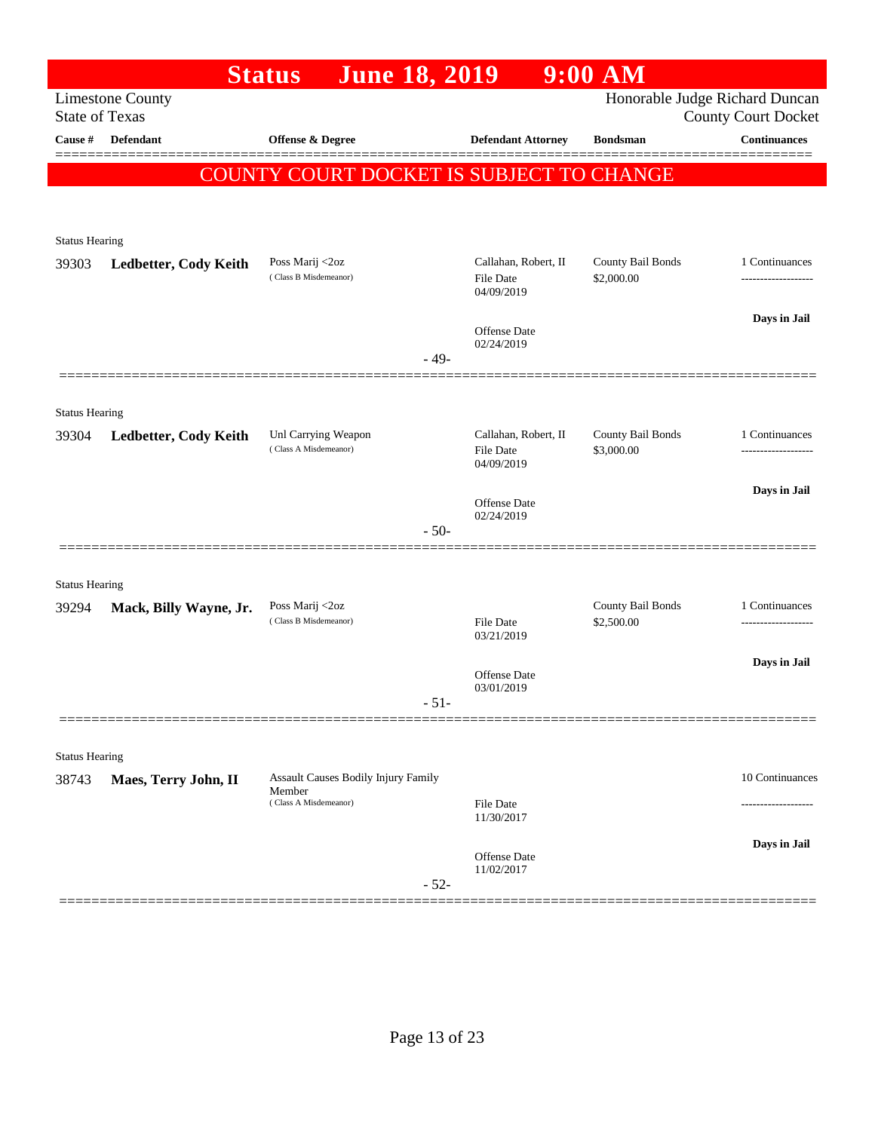|                       |                                                  | <b>June 18, 2019</b><br><b>Status</b>                                  |                                                 | $9:00$ AM                       |                                                              |
|-----------------------|--------------------------------------------------|------------------------------------------------------------------------|-------------------------------------------------|---------------------------------|--------------------------------------------------------------|
|                       | <b>Limestone County</b><br><b>State of Texas</b> |                                                                        |                                                 |                                 | Honorable Judge Richard Duncan<br><b>County Court Docket</b> |
| Cause #               | <b>Defendant</b>                                 | Offense & Degree                                                       | <b>Defendant Attorney</b>                       | <b>Bondsman</b>                 | <b>Continuances</b>                                          |
|                       |                                                  | COUNTY COURT DOCKET IS SUBJECT TO CHANGE                               |                                                 |                                 |                                                              |
|                       |                                                  |                                                                        |                                                 |                                 |                                                              |
| <b>Status Hearing</b> |                                                  |                                                                        |                                                 |                                 |                                                              |
| 39303                 | Ledbetter, Cody Keith                            | Poss Marij <2oz<br>(Class B Misdemeanor)                               | Callahan, Robert, II<br>File Date<br>04/09/2019 | County Bail Bonds<br>\$2,000.00 | 1 Continuances<br>-------------------                        |
|                       |                                                  |                                                                        |                                                 |                                 | Days in Jail                                                 |
|                       |                                                  |                                                                        | <b>Offense Date</b><br>02/24/2019<br>$-49-$     |                                 |                                                              |
|                       |                                                  |                                                                        |                                                 |                                 |                                                              |
| <b>Status Hearing</b> |                                                  |                                                                        |                                                 |                                 |                                                              |
| 39304                 | Ledbetter, Cody Keith                            | Unl Carrying Weapon<br>(Class A Misdemeanor)                           | Callahan, Robert, II<br>File Date<br>04/09/2019 | County Bail Bonds<br>\$3,000.00 | 1 Continuances                                               |
|                       |                                                  |                                                                        |                                                 |                                 | Days in Jail                                                 |
|                       |                                                  |                                                                        | Offense Date<br>02/24/2019                      |                                 |                                                              |
|                       |                                                  |                                                                        | $-50-$                                          |                                 |                                                              |
| <b>Status Hearing</b> |                                                  |                                                                        |                                                 |                                 |                                                              |
| 39294                 | Mack, Billy Wayne, Jr.                           | Poss Marij <2oz                                                        |                                                 | County Bail Bonds               | 1 Continuances                                               |
|                       |                                                  | (Class B Misdemeanor)                                                  | File Date<br>03/21/2019                         | \$2,500.00                      | ------------------                                           |
|                       |                                                  |                                                                        | Offense Date                                    |                                 | Days in Jail                                                 |
|                       |                                                  |                                                                        | 03/01/2019<br>$-51-$                            |                                 |                                                              |
|                       |                                                  |                                                                        |                                                 |                                 |                                                              |
| <b>Status Hearing</b> |                                                  |                                                                        |                                                 |                                 |                                                              |
| 38743                 | Maes, Terry John, II                             | Assault Causes Bodily Injury Family<br>Member<br>(Class A Misdemeanor) |                                                 |                                 | 10 Continuances                                              |
|                       |                                                  |                                                                        | File Date<br>11/30/2017                         |                                 |                                                              |
|                       |                                                  |                                                                        | Offense Date                                    |                                 | Days in Jail                                                 |
|                       |                                                  |                                                                        | 11/02/2017<br>$-52-$                            |                                 |                                                              |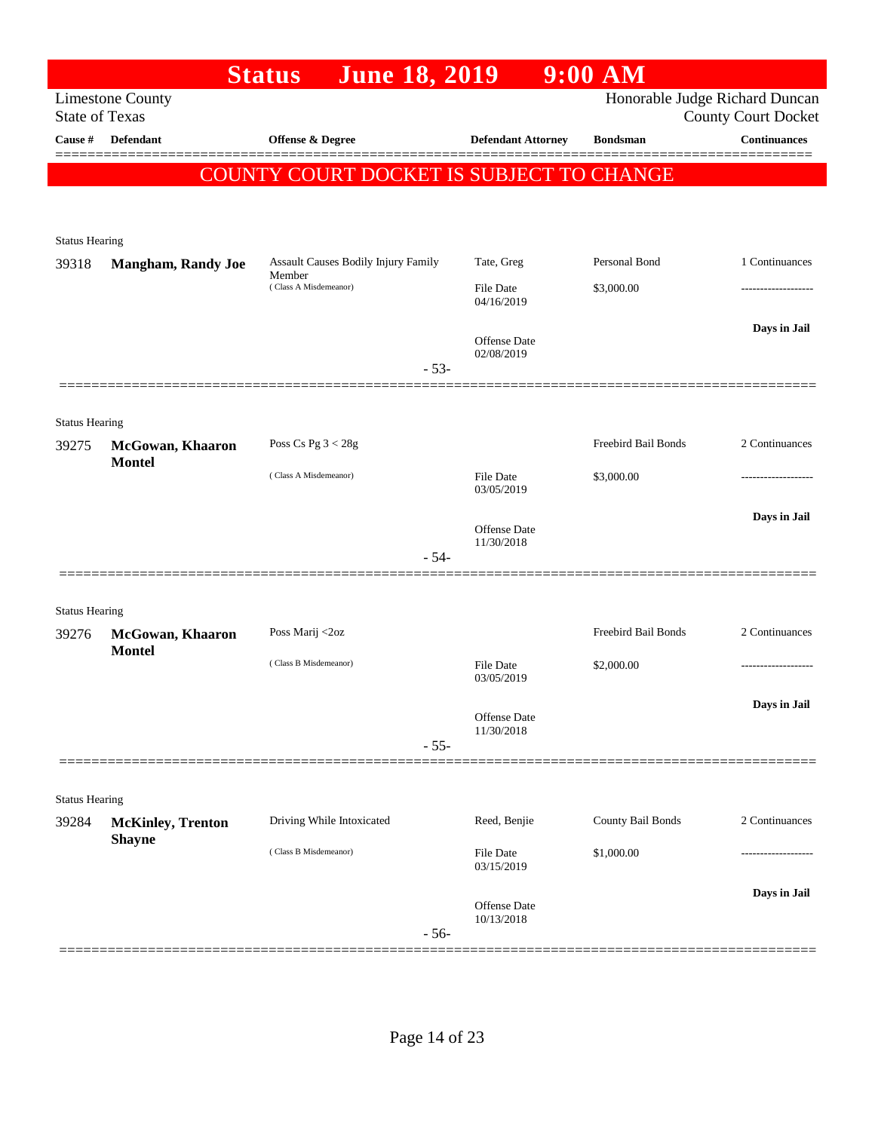|                       |                                           | <b>June 18, 2019</b><br><b>Status</b>         |                                | $9:00$ AM           |                                                              |
|-----------------------|-------------------------------------------|-----------------------------------------------|--------------------------------|---------------------|--------------------------------------------------------------|
| <b>State of Texas</b> | <b>Limestone County</b>                   |                                               |                                |                     | Honorable Judge Richard Duncan<br><b>County Court Docket</b> |
| Cause #               | <b>Defendant</b>                          | Offense & Degree                              | <b>Defendant Attorney</b>      | <b>Bondsman</b>     | <b>Continuances</b>                                          |
|                       |                                           | COUNTY COURT DOCKET IS SUBJECT TO CHANGE      |                                |                     |                                                              |
|                       |                                           |                                               |                                |                     |                                                              |
|                       |                                           |                                               |                                |                     |                                                              |
| <b>Status Hearing</b> |                                           |                                               |                                |                     |                                                              |
| 39318                 | <b>Mangham, Randy Joe</b>                 | Assault Causes Bodily Injury Family<br>Member | Tate, Greg                     | Personal Bond       | 1 Continuances                                               |
|                       |                                           | (Class A Misdemeanor)                         | <b>File Date</b><br>04/16/2019 | \$3,000.00          |                                                              |
|                       |                                           |                                               | Offense Date<br>02/08/2019     |                     | Days in Jail                                                 |
|                       |                                           | $-53-$                                        |                                |                     |                                                              |
|                       |                                           |                                               |                                |                     |                                                              |
| <b>Status Hearing</b> |                                           |                                               |                                |                     |                                                              |
| 39275                 | McGowan, Khaaron<br><b>Montel</b>         | Poss Cs Pg $3 < 28g$                          |                                | Freebird Bail Bonds | 2 Continuances                                               |
|                       |                                           | (Class A Misdemeanor)                         | <b>File Date</b><br>03/05/2019 | \$3,000.00          |                                                              |
|                       |                                           |                                               | <b>Offense</b> Date            |                     | Days in Jail                                                 |
|                       |                                           | $-54-$                                        | 11/30/2018                     |                     |                                                              |
|                       |                                           |                                               |                                |                     |                                                              |
| <b>Status Hearing</b> |                                           |                                               |                                |                     |                                                              |
| 39276                 | McGowan, Khaaron                          | Poss Marij <2oz                               |                                | Freebird Bail Bonds | 2 Continuances                                               |
|                       | <b>Montel</b>                             | (Class B Misdemeanor)                         | <b>File Date</b><br>03/05/2019 | \$2,000.00          |                                                              |
|                       |                                           |                                               |                                |                     | Days in Jail                                                 |
|                       |                                           |                                               | Offense Date<br>11/30/2018     |                     |                                                              |
|                       |                                           | $-55-$                                        |                                |                     |                                                              |
|                       |                                           |                                               |                                |                     |                                                              |
| <b>Status Hearing</b> |                                           |                                               |                                |                     |                                                              |
| 39284                 | <b>McKinley, Trenton</b><br><b>Shayne</b> | Driving While Intoxicated                     | Reed, Benjie                   | County Bail Bonds   | 2 Continuances                                               |
|                       |                                           | (Class B Misdemeanor)                         | File Date<br>03/15/2019        | \$1,000.00          | .                                                            |
|                       |                                           |                                               | Offense Date                   |                     | Days in Jail                                                 |
|                       |                                           | $-56-$                                        | 10/13/2018                     |                     |                                                              |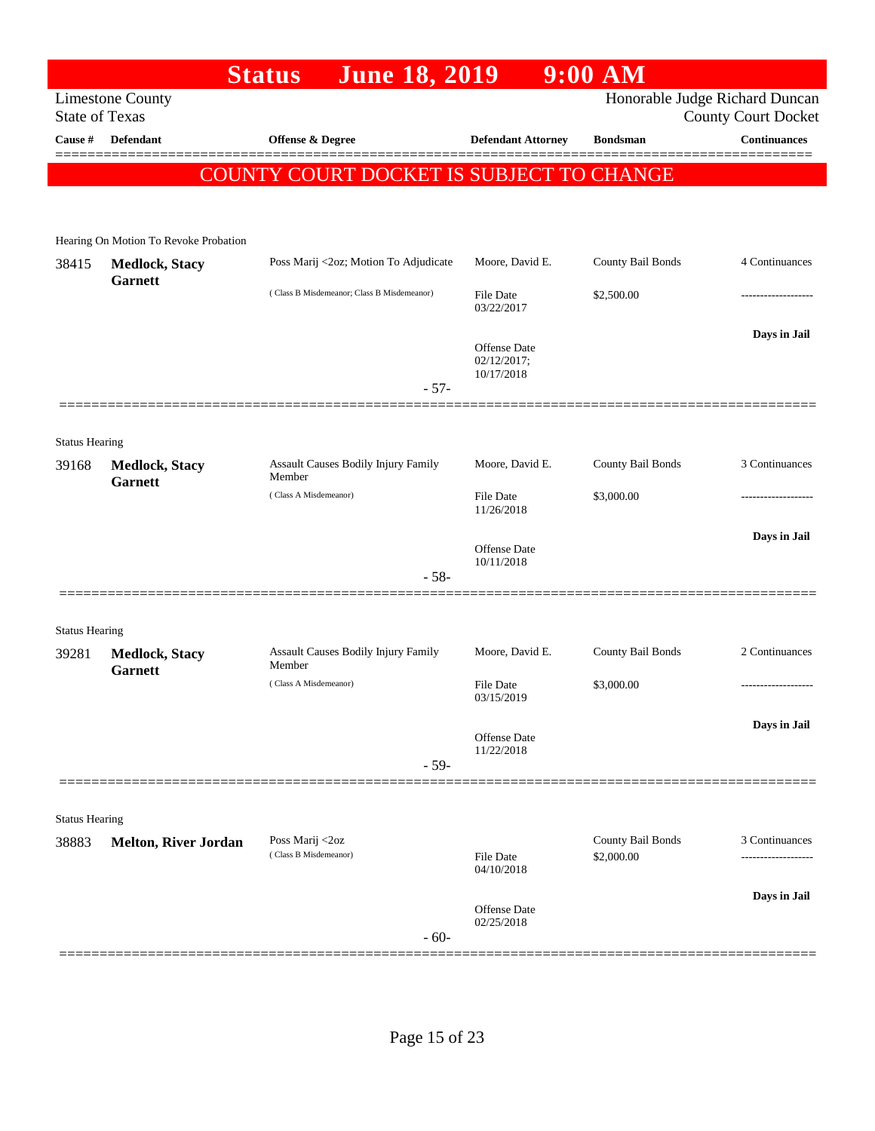|                                |                                         | <b>June 18, 2019</b><br><b>Status</b>         |                                                  | $9:00$ AM                       |                                                              |
|--------------------------------|-----------------------------------------|-----------------------------------------------|--------------------------------------------------|---------------------------------|--------------------------------------------------------------|
| <b>State of Texas</b>          | <b>Limestone County</b>                 |                                               |                                                  |                                 | Honorable Judge Richard Duncan<br><b>County Court Docket</b> |
| Cause #                        | <b>Defendant</b>                        | Offense & Degree                              | <b>Defendant Attorney</b>                        | <b>Bondsman</b>                 | <b>Continuances</b>                                          |
|                                |                                         | COUNTY COURT DOCKET IS SUBJECT TO CHANGE      |                                                  |                                 | ======                                                       |
|                                |                                         |                                               |                                                  |                                 |                                                              |
|                                | Hearing On Motion To Revoke Probation   |                                               |                                                  |                                 |                                                              |
| 38415                          | <b>Medlock, Stacy</b><br><b>Garnett</b> | Poss Marij <2oz; Motion To Adjudicate         | Moore, David E.                                  | County Bail Bonds               | 4 Continuances                                               |
|                                |                                         | (Class B Misdemeanor; Class B Misdemeanor)    | File Date<br>03/22/2017                          | \$2,500.00                      |                                                              |
|                                |                                         |                                               | <b>Offense Date</b><br>02/12/2017;<br>10/17/2018 |                                 | Days in Jail                                                 |
|                                |                                         |                                               | $-57-$                                           |                                 |                                                              |
|                                |                                         |                                               |                                                  |                                 |                                                              |
| <b>Status Hearing</b><br>39168 | <b>Medlock, Stacy</b>                   | Assault Causes Bodily Injury Family<br>Member | Moore, David E.                                  | County Bail Bonds               | 3 Continuances                                               |
|                                | <b>Garnett</b>                          | (Class A Misdemeanor)                         | <b>File Date</b><br>11/26/2018                   | \$3,000.00                      |                                                              |
|                                |                                         |                                               | <b>Offense</b> Date<br>10/11/2018                |                                 | Days in Jail                                                 |
|                                |                                         |                                               | $-58-$                                           |                                 |                                                              |
|                                |                                         |                                               |                                                  |                                 |                                                              |
| <b>Status Hearing</b><br>39281 | <b>Medlock, Stacy</b>                   | Assault Causes Bodily Injury Family<br>Member | Moore, David E.                                  | County Bail Bonds               | 2 Continuances                                               |
|                                | <b>Garnett</b>                          | (Class A Misdemeanor)                         | <b>File Date</b><br>03/15/2019                   | \$3,000.00                      | ------------------                                           |
|                                |                                         |                                               | Offense Date<br>11/22/2018<br>$-59-$             |                                 | Days in Jail                                                 |
|                                |                                         |                                               |                                                  |                                 |                                                              |
| <b>Status Hearing</b>          |                                         |                                               |                                                  |                                 |                                                              |
| 38883                          | <b>Melton, River Jordan</b>             | Poss Marij <2oz<br>(Class B Misdemeanor)      | File Date<br>04/10/2018                          | County Bail Bonds<br>\$2,000.00 | 3 Continuances<br>.                                          |
|                                |                                         |                                               |                                                  |                                 | Days in Jail                                                 |
|                                |                                         |                                               | Offense Date<br>02/25/2018<br>$-60-$             |                                 |                                                              |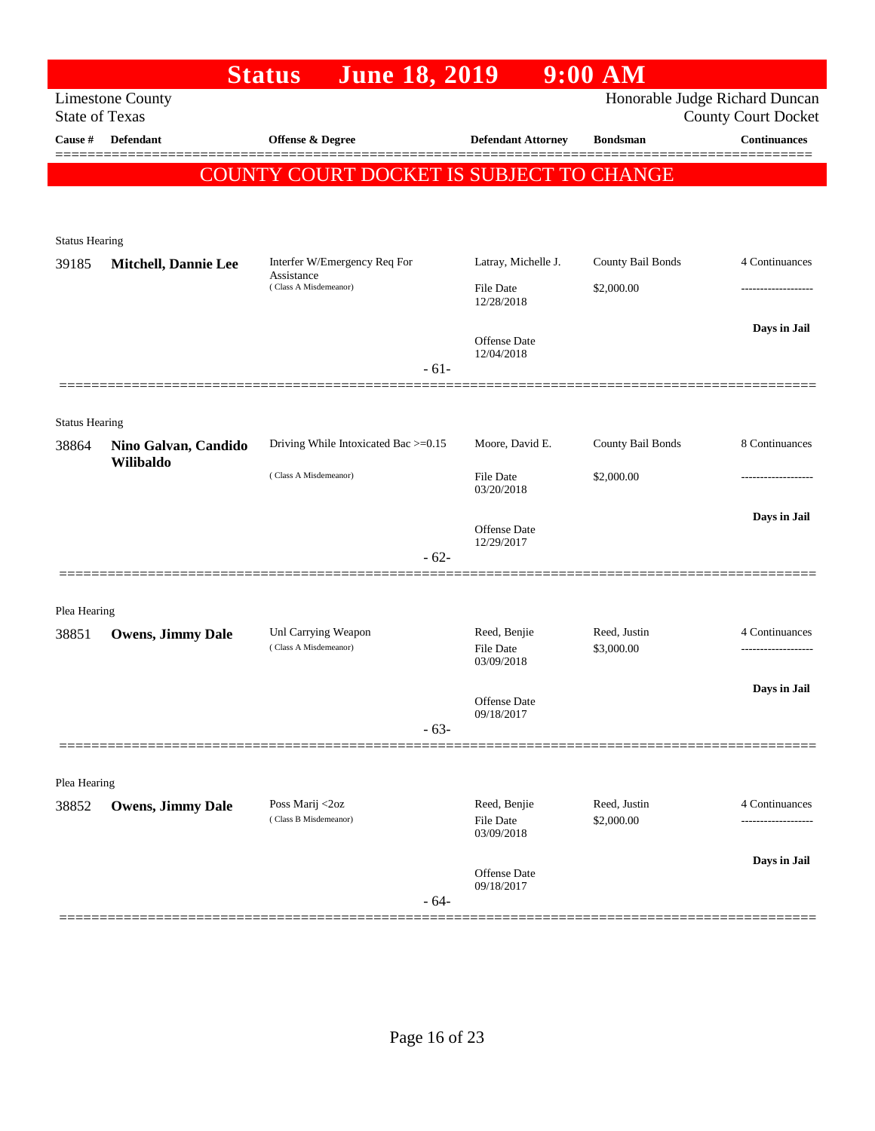|                                  |                             | <b>June 18, 2019</b><br><b>Status</b>        |                            | $9:00$ AM                  |                                                   |
|----------------------------------|-----------------------------|----------------------------------------------|----------------------------|----------------------------|---------------------------------------------------|
|                                  | <b>Limestone County</b>     |                                              |                            |                            | Honorable Judge Richard Duncan                    |
| <b>State of Texas</b><br>Cause # | Defendant                   | Offense & Degree                             | <b>Defendant Attorney</b>  | <b>Bondsman</b>            | <b>County Court Docket</b><br><b>Continuances</b> |
|                                  |                             |                                              |                            |                            |                                                   |
|                                  |                             | COUNTY COURT DOCKET IS SUBJECT TO CHANGE     |                            |                            |                                                   |
|                                  |                             |                                              |                            |                            |                                                   |
| <b>Status Hearing</b>            |                             |                                              |                            |                            |                                                   |
| 39185                            | <b>Mitchell, Dannie Lee</b> | Interfer W/Emergency Req For                 | Latray, Michelle J.        | County Bail Bonds          | 4 Continuances                                    |
|                                  |                             | Assistance<br>(Class A Misdemeanor)          | File Date                  | \$2,000.00                 |                                                   |
|                                  |                             |                                              | 12/28/2018                 |                            |                                                   |
|                                  |                             |                                              | Offense Date               |                            | Days in Jail                                      |
|                                  |                             |                                              | 12/04/2018                 |                            |                                                   |
|                                  |                             | $-61-$                                       |                            |                            |                                                   |
|                                  |                             |                                              |                            |                            |                                                   |
| <b>Status Hearing</b><br>38864   | Nino Galvan, Candido        | Driving While Intoxicated Bac >=0.15         | Moore, David E.            | County Bail Bonds          | 8 Continuances                                    |
|                                  | Wilibaldo                   |                                              |                            |                            |                                                   |
|                                  |                             | (Class A Misdemeanor)                        | File Date<br>03/20/2018    | \$2,000.00                 |                                                   |
|                                  |                             |                                              |                            |                            | Days in Jail                                      |
|                                  |                             |                                              | Offense Date<br>12/29/2017 |                            |                                                   |
|                                  |                             | $-62-$                                       |                            |                            |                                                   |
|                                  |                             |                                              |                            |                            |                                                   |
| Plea Hearing                     |                             |                                              |                            |                            |                                                   |
| 38851                            | <b>Owens, Jimmy Dale</b>    | Unl Carrying Weapon<br>(Class A Misdemeanor) | Reed, Benjie<br>File Date  | Reed, Justin<br>\$3,000.00 | 4 Continuances                                    |
|                                  |                             |                                              | 03/09/2018                 |                            |                                                   |
|                                  |                             |                                              | Offense Date               |                            | Days in Jail                                      |
|                                  |                             |                                              | 09/18/2017                 |                            |                                                   |
|                                  |                             | $-63-$                                       |                            |                            |                                                   |
|                                  |                             |                                              |                            |                            |                                                   |
| Plea Hearing<br>38852            | <b>Owens, Jimmy Dale</b>    | Poss Marij <2oz                              | Reed, Benjie               | Reed, Justin               | 4 Continuances                                    |
|                                  |                             | (Class B Misdemeanor)                        | File Date                  | \$2,000.00                 | ----------------                                  |
|                                  |                             |                                              | 03/09/2018                 |                            |                                                   |
|                                  |                             |                                              | Offense Date               |                            | Days in Jail                                      |
|                                  |                             | $-64-$                                       | 09/18/2017                 |                            |                                                   |
|                                  |                             |                                              |                            |                            |                                                   |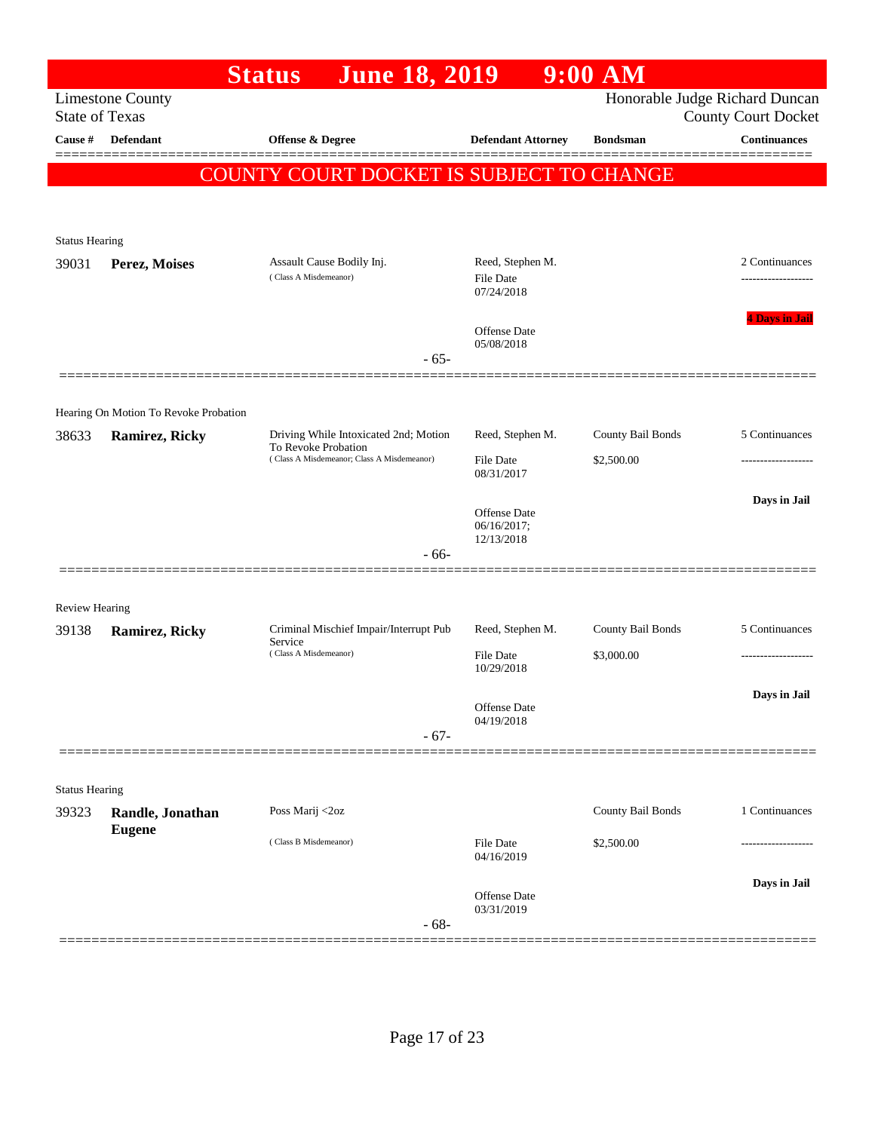|                       |                                                         | <b>June 18, 2019</b><br><b>Status</b>                                      |                                | $9:00$ AM         |                                                   |
|-----------------------|---------------------------------------------------------|----------------------------------------------------------------------------|--------------------------------|-------------------|---------------------------------------------------|
| <b>State of Texas</b> | <b>Limestone County</b>                                 |                                                                            |                                |                   | Honorable Judge Richard Duncan                    |
| <b>Cause</b> #        | Defendant                                               | Offense & Degree                                                           | <b>Defendant Attorney</b>      | <b>Bondsman</b>   | <b>County Court Docket</b><br><b>Continuances</b> |
|                       |                                                         |                                                                            |                                |                   |                                                   |
|                       |                                                         | COUNTY COURT DOCKET IS SUBJECT TO CHANGE                                   |                                |                   |                                                   |
|                       |                                                         |                                                                            |                                |                   |                                                   |
| <b>Status Hearing</b> |                                                         |                                                                            |                                |                   |                                                   |
| 39031                 | Perez, Moises                                           | Assault Cause Bodily Inj.                                                  | Reed, Stephen M.               |                   | 2 Continuances                                    |
|                       |                                                         | (Class A Misdemeanor)                                                      | File Date<br>07/24/2018        |                   |                                                   |
|                       |                                                         |                                                                            |                                |                   | <b>4 Davs in Jail</b>                             |
|                       |                                                         |                                                                            | Offense Date<br>05/08/2018     |                   |                                                   |
|                       |                                                         | $-65-$                                                                     |                                |                   |                                                   |
|                       |                                                         |                                                                            |                                |                   |                                                   |
| 38633                 | Hearing On Motion To Revoke Probation<br>Ramirez, Ricky | Driving While Intoxicated 2nd; Motion                                      | Reed, Stephen M.               | County Bail Bonds | 5 Continuances                                    |
|                       |                                                         | To Revoke Probation<br>(Class A Misdemeanor; Class A Misdemeanor)          | <b>File Date</b>               | \$2,500.00        |                                                   |
|                       |                                                         |                                                                            | 08/31/2017                     |                   |                                                   |
|                       |                                                         |                                                                            | Offense Date                   |                   | Days in Jail                                      |
|                       |                                                         |                                                                            | 06/16/2017;<br>12/13/2018      |                   |                                                   |
|                       |                                                         | - 66-                                                                      |                                |                   |                                                   |
|                       |                                                         |                                                                            |                                |                   |                                                   |
| <b>Review Hearing</b> |                                                         |                                                                            |                                |                   |                                                   |
| 39138                 | Ramirez, Ricky                                          | Criminal Mischief Impair/Interrupt Pub<br>Service<br>(Class A Misdemeanor) | Reed, Stephen M.               | County Bail Bonds | 5 Continuances                                    |
|                       |                                                         |                                                                            | File Date<br>10/29/2018        | \$3,000.00        |                                                   |
|                       |                                                         |                                                                            | Offense Date                   |                   | Days in Jail                                      |
|                       |                                                         |                                                                            | 04/19/2018                     |                   |                                                   |
|                       |                                                         | $-67-$                                                                     |                                |                   |                                                   |
| <b>Status Hearing</b> |                                                         |                                                                            |                                |                   |                                                   |
| 39323                 | Randle, Jonathan                                        | Poss Marij <2oz                                                            |                                | County Bail Bonds | 1 Continuances                                    |
|                       | <b>Eugene</b>                                           | (Class B Misdemeanor)                                                      |                                |                   |                                                   |
|                       |                                                         |                                                                            | <b>File Date</b><br>04/16/2019 | \$2,500.00        |                                                   |
|                       |                                                         |                                                                            |                                |                   | Days in Jail                                      |
|                       |                                                         |                                                                            | Offense Date<br>03/31/2019     |                   |                                                   |
|                       |                                                         | $-68-$                                                                     |                                |                   |                                                   |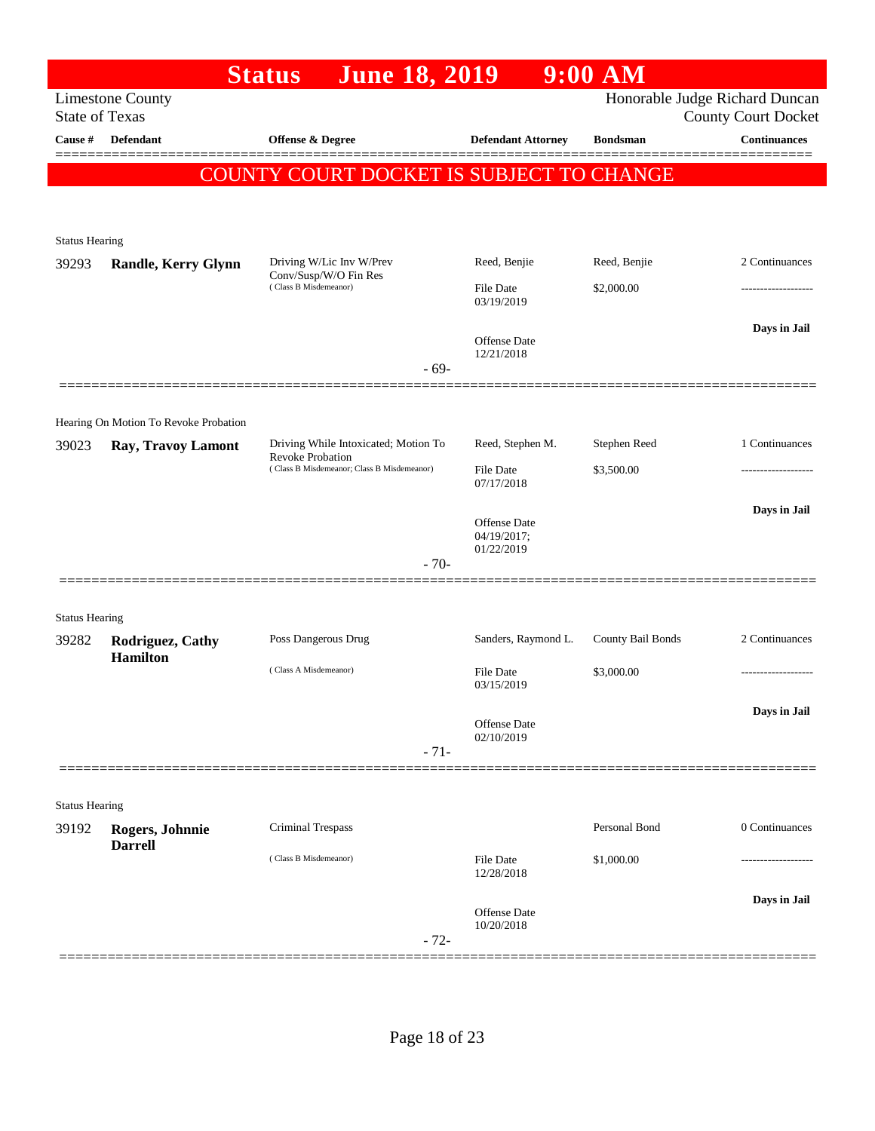|                       |                                       | June 18, 2019<br><b>Status</b>                                 |                             | $9:00$ AM         |                                                              |
|-----------------------|---------------------------------------|----------------------------------------------------------------|-----------------------------|-------------------|--------------------------------------------------------------|
| <b>State of Texas</b> | <b>Limestone County</b>               |                                                                |                             |                   | Honorable Judge Richard Duncan<br><b>County Court Docket</b> |
| Cause #               | <b>Defendant</b>                      | <b>Offense &amp; Degree</b>                                    | <b>Defendant Attorney</b>   | <b>Bondsman</b>   | <b>Continuances</b>                                          |
|                       |                                       | COUNTY COURT DOCKET IS SUBJECT TO CHANGE                       |                             |                   |                                                              |
|                       |                                       |                                                                |                             |                   |                                                              |
|                       |                                       |                                                                |                             |                   |                                                              |
| <b>Status Hearing</b> |                                       | Driving W/Lic Inv W/Prev                                       | Reed, Benjie                | Reed, Benjie      | 2 Continuances                                               |
| 39293                 | <b>Randle, Kerry Glynn</b>            | Conv/Susp/W/O Fin Res<br>(Class B Misdemeanor)                 | <b>File Date</b>            | \$2,000.00        |                                                              |
|                       |                                       |                                                                | 03/19/2019                  |                   |                                                              |
|                       |                                       |                                                                |                             |                   | Days in Jail                                                 |
|                       |                                       |                                                                | Offense Date<br>12/21/2018  |                   |                                                              |
|                       |                                       | $-69-$                                                         |                             |                   |                                                              |
|                       | Hearing On Motion To Revoke Probation |                                                                |                             |                   |                                                              |
| 39023                 | Ray, Travoy Lamont                    | Driving While Intoxicated; Motion To                           | Reed, Stephen M.            | Stephen Reed      | 1 Continuances                                               |
|                       |                                       | Revoke Probation<br>(Class B Misdemeanor; Class B Misdemeanor) | File Date                   | \$3,500.00        | .                                                            |
|                       |                                       |                                                                | 07/17/2018                  |                   |                                                              |
|                       |                                       |                                                                | Offense Date<br>04/19/2017; |                   | Days in Jail                                                 |
|                       |                                       | $-70-$                                                         | 01/22/2019                  |                   |                                                              |
|                       |                                       |                                                                |                             |                   |                                                              |
| <b>Status Hearing</b> |                                       |                                                                |                             |                   |                                                              |
| 39282                 | Rodriguez, Cathy                      | Poss Dangerous Drug                                            | Sanders, Raymond L.         | County Bail Bonds | 2 Continuances                                               |
|                       | <b>Hamilton</b>                       | (Class A Misdemeanor)                                          | File Date                   | \$3,000.00        | .                                                            |
|                       |                                       |                                                                | 03/15/2019                  |                   |                                                              |
|                       |                                       |                                                                | Offense Date                |                   | Days in Jail                                                 |
|                       |                                       | $-71-$                                                         | 02/10/2019                  |                   |                                                              |
|                       |                                       |                                                                |                             |                   |                                                              |
| <b>Status Hearing</b> |                                       |                                                                |                             |                   |                                                              |
| 39192                 | Rogers, Johnnie                       | <b>Criminal Trespass</b>                                       |                             | Personal Bond     | 0 Continuances                                               |
|                       | <b>Darrell</b>                        | (Class B Misdemeanor)                                          | <b>File Date</b>            | \$1,000.00        |                                                              |
|                       |                                       |                                                                | 12/28/2018                  |                   |                                                              |
|                       |                                       |                                                                | <b>Offense Date</b>         |                   | Days in Jail                                                 |
|                       |                                       | $-72-$                                                         | 10/20/2018                  |                   |                                                              |
|                       |                                       |                                                                |                             |                   |                                                              |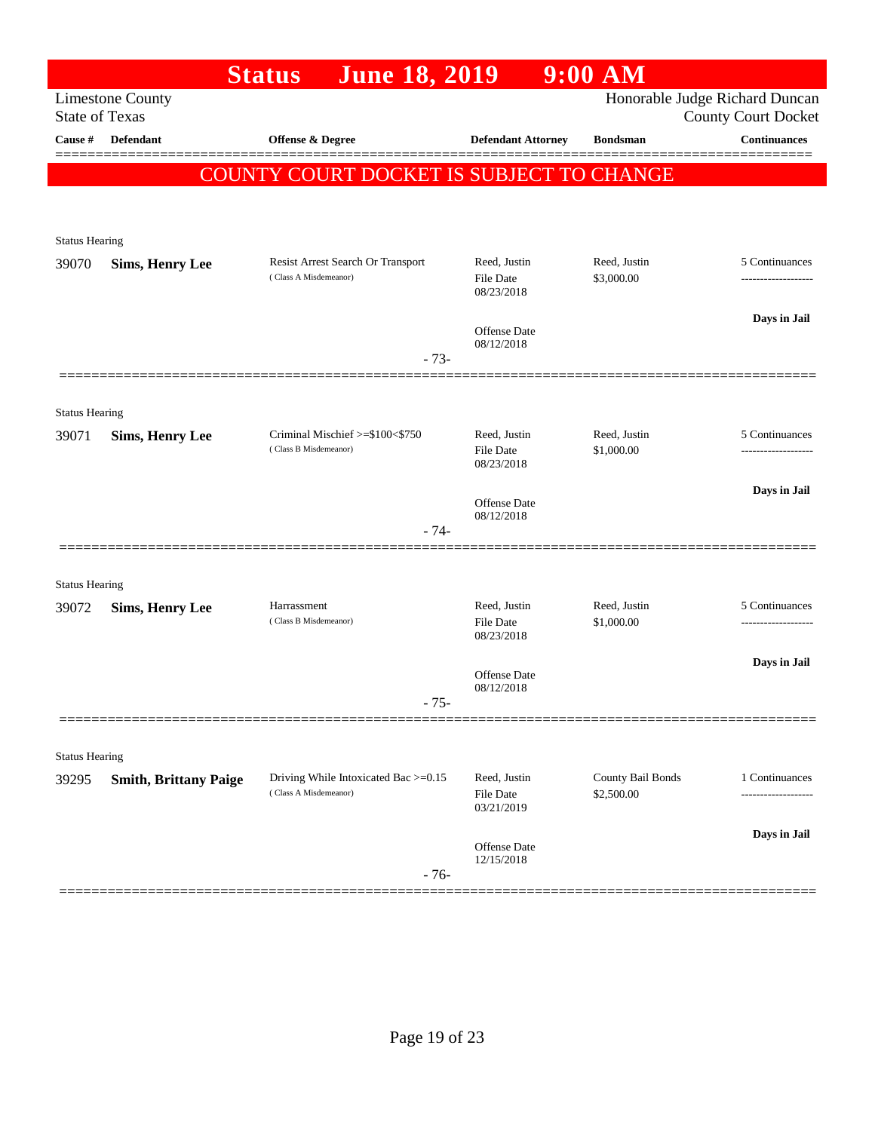|                       |                              | <b>June 18, 2019</b><br><b>Status</b>                         |                                   | $9:00$ AM                                    |                                                              |
|-----------------------|------------------------------|---------------------------------------------------------------|-----------------------------------|----------------------------------------------|--------------------------------------------------------------|
| <b>State of Texas</b> | <b>Limestone County</b>      |                                                               |                                   |                                              | Honorable Judge Richard Duncan<br><b>County Court Docket</b> |
| Cause #               | Defendant                    | Offense & Degree                                              |                                   | <b>Defendant Attorney</b><br><b>Bondsman</b> | <b>Continuances</b>                                          |
|                       |                              |                                                               |                                   |                                              |                                                              |
|                       |                              | COUNTY COURT DOCKET IS SUBJECT TO CHANGE                      |                                   |                                              |                                                              |
|                       |                              |                                                               |                                   |                                              |                                                              |
| <b>Status Hearing</b> |                              |                                                               |                                   |                                              |                                                              |
| 39070                 | <b>Sims, Henry Lee</b>       | Resist Arrest Search Or Transport                             | Reed, Justin                      | Reed, Justin                                 | 5 Continuances                                               |
|                       |                              | (Class A Misdemeanor)                                         | <b>File Date</b><br>08/23/2018    | \$3,000.00                                   |                                                              |
|                       |                              |                                                               |                                   |                                              | Days in Jail                                                 |
|                       |                              |                                                               | <b>Offense</b> Date<br>08/12/2018 |                                              |                                                              |
|                       |                              |                                                               | $-73-$                            |                                              |                                                              |
|                       |                              |                                                               |                                   |                                              |                                                              |
| <b>Status Hearing</b> |                              |                                                               |                                   |                                              |                                                              |
| 39071                 | <b>Sims, Henry Lee</b>       | Criminal Mischief >=\$100<\$750<br>(Class B Misdemeanor)      | Reed, Justin<br><b>File Date</b>  | Reed, Justin<br>\$1,000.00                   | 5 Continuances                                               |
|                       |                              |                                                               | 08/23/2018                        |                                              |                                                              |
|                       |                              |                                                               | Offense Date                      |                                              | Days in Jail                                                 |
|                       |                              |                                                               | 08/12/2018<br>$-74-$              |                                              |                                                              |
|                       |                              |                                                               |                                   |                                              |                                                              |
| <b>Status Hearing</b> |                              |                                                               |                                   |                                              |                                                              |
| 39072                 | <b>Sims, Henry Lee</b>       | Harrassment                                                   | Reed, Justin                      | Reed, Justin                                 | 5 Continuances                                               |
|                       |                              | (Class B Misdemeanor)                                         | <b>File Date</b><br>08/23/2018    | \$1,000.00                                   |                                                              |
|                       |                              |                                                               |                                   |                                              | Days in Jail                                                 |
|                       |                              |                                                               | Offense Date<br>08/12/2018        |                                              |                                                              |
|                       |                              |                                                               | $-75-$                            |                                              |                                                              |
|                       |                              |                                                               |                                   |                                              |                                                              |
| <b>Status Hearing</b> |                              |                                                               |                                   |                                              |                                                              |
| 39295                 | <b>Smith, Brittany Paige</b> | Driving While Intoxicated Bac >=0.15<br>(Class A Misdemeanor) | Reed, Justin<br><b>File Date</b>  | County Bail Bonds<br>\$2,500.00              | 1 Continuances<br>                                           |
|                       |                              |                                                               | 03/21/2019                        |                                              |                                                              |
|                       |                              |                                                               | Offense Date                      |                                              | Days in Jail                                                 |
|                       |                              |                                                               | 12/15/2018<br>$-76-$              |                                              |                                                              |
|                       |                              |                                                               |                                   |                                              |                                                              |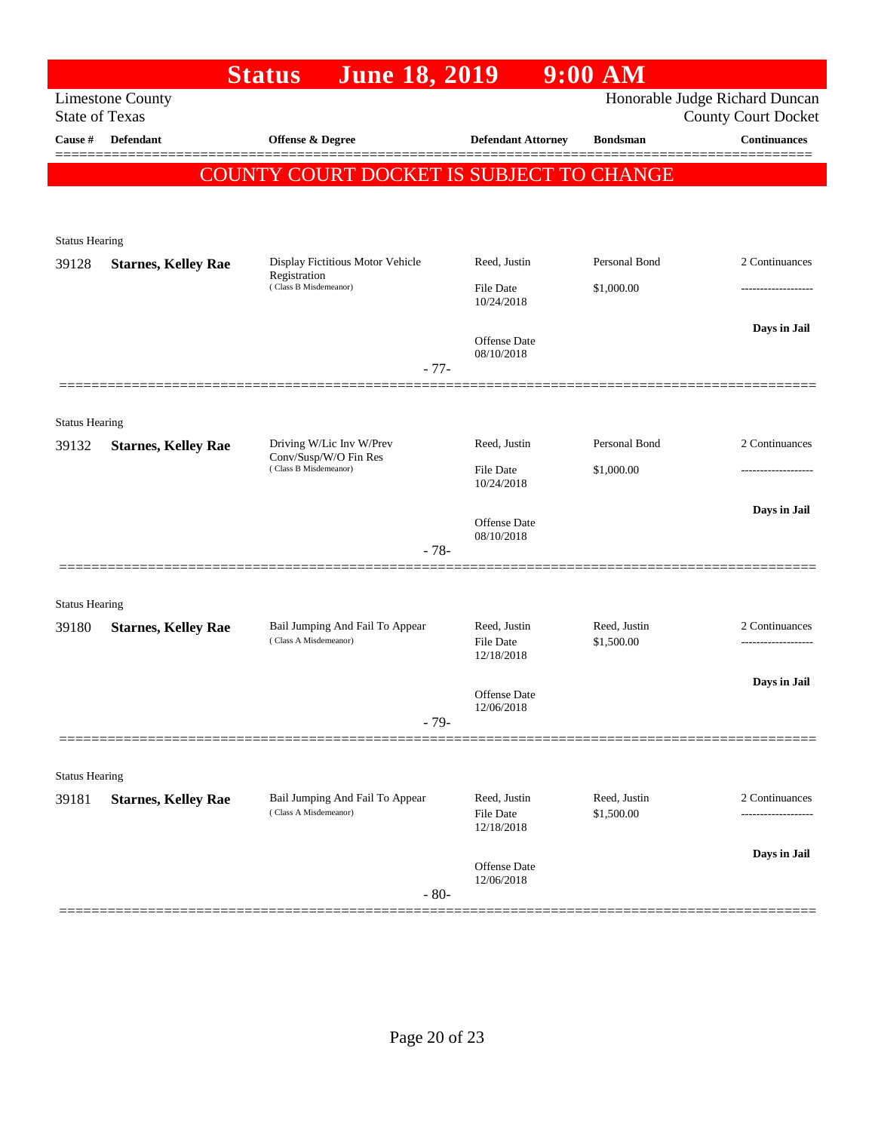|                       |                            | <b>June 18, 2019</b><br><b>Status</b>                                      |                                   | $9:00$ AM                  |                                                              |
|-----------------------|----------------------------|----------------------------------------------------------------------------|-----------------------------------|----------------------------|--------------------------------------------------------------|
| <b>State of Texas</b> | <b>Limestone County</b>    |                                                                            |                                   |                            | Honorable Judge Richard Duncan<br><b>County Court Docket</b> |
| Cause #               | <b>Defendant</b>           | Offense & Degree                                                           | <b>Defendant Attorney</b>         | <b>Bondsman</b>            | <b>Continuances</b>                                          |
|                       |                            | <b>COUNTY COURT DOCKET IS SUBJECT TO CHANGE</b>                            |                                   |                            |                                                              |
|                       |                            |                                                                            |                                   |                            |                                                              |
|                       |                            |                                                                            |                                   |                            |                                                              |
| <b>Status Hearing</b> |                            |                                                                            |                                   | Personal Bond              | 2 Continuances                                               |
| 39128                 | <b>Starnes, Kelley Rae</b> | Display Fictitious Motor Vehicle<br>Registration                           | Reed, Justin                      |                            |                                                              |
|                       |                            | (Class B Misdemeanor)                                                      | File Date<br>10/24/2018           | \$1,000.00                 |                                                              |
|                       |                            |                                                                            |                                   |                            | Days in Jail                                                 |
|                       |                            |                                                                            | <b>Offense</b> Date<br>08/10/2018 |                            |                                                              |
|                       |                            | $-77-$                                                                     |                                   |                            |                                                              |
|                       |                            |                                                                            |                                   |                            |                                                              |
| <b>Status Hearing</b> |                            |                                                                            |                                   |                            |                                                              |
| 39132                 | <b>Starnes, Kelley Rae</b> | Driving W/Lic Inv W/Prev<br>Conv/Susp/W/O Fin Res<br>(Class B Misdemeanor) | Reed, Justin                      | Personal Bond              | 2 Continuances                                               |
|                       |                            |                                                                            | <b>File Date</b><br>10/24/2018    | \$1,000.00                 |                                                              |
|                       |                            |                                                                            |                                   |                            | Days in Jail                                                 |
|                       |                            |                                                                            | Offense Date<br>08/10/2018        |                            |                                                              |
|                       |                            | $-78-$                                                                     |                                   |                            |                                                              |
|                       |                            |                                                                            |                                   |                            |                                                              |
| <b>Status Hearing</b> |                            |                                                                            |                                   |                            |                                                              |
| 39180                 | <b>Starnes, Kelley Rae</b> | Bail Jumping And Fail To Appear<br>(Class A Misdemeanor)                   | Reed, Justin<br>File Date         | Reed, Justin<br>\$1,500.00 | 2 Continuances<br>------------------                         |
|                       |                            |                                                                            | 12/18/2018                        |                            |                                                              |
|                       |                            |                                                                            | <b>Offense</b> Date               |                            | Days in Jail                                                 |
|                       |                            |                                                                            | 12/06/2018                        |                            |                                                              |
|                       |                            | $-79-$                                                                     |                                   |                            |                                                              |
|                       |                            |                                                                            |                                   |                            |                                                              |
| <b>Status Hearing</b> |                            |                                                                            |                                   |                            |                                                              |
| 39181                 | <b>Starnes, Kelley Rae</b> | Bail Jumping And Fail To Appear<br>(Class A Misdemeanor)                   | Reed, Justin<br>File Date         | Reed, Justin<br>\$1,500.00 | 2 Continuances<br>-----------------                          |
|                       |                            |                                                                            | 12/18/2018                        |                            |                                                              |
|                       |                            |                                                                            | Offense Date                      |                            | Days in Jail                                                 |
|                       |                            | $-80-$                                                                     | 12/06/2018                        |                            |                                                              |
|                       |                            |                                                                            |                                   |                            |                                                              |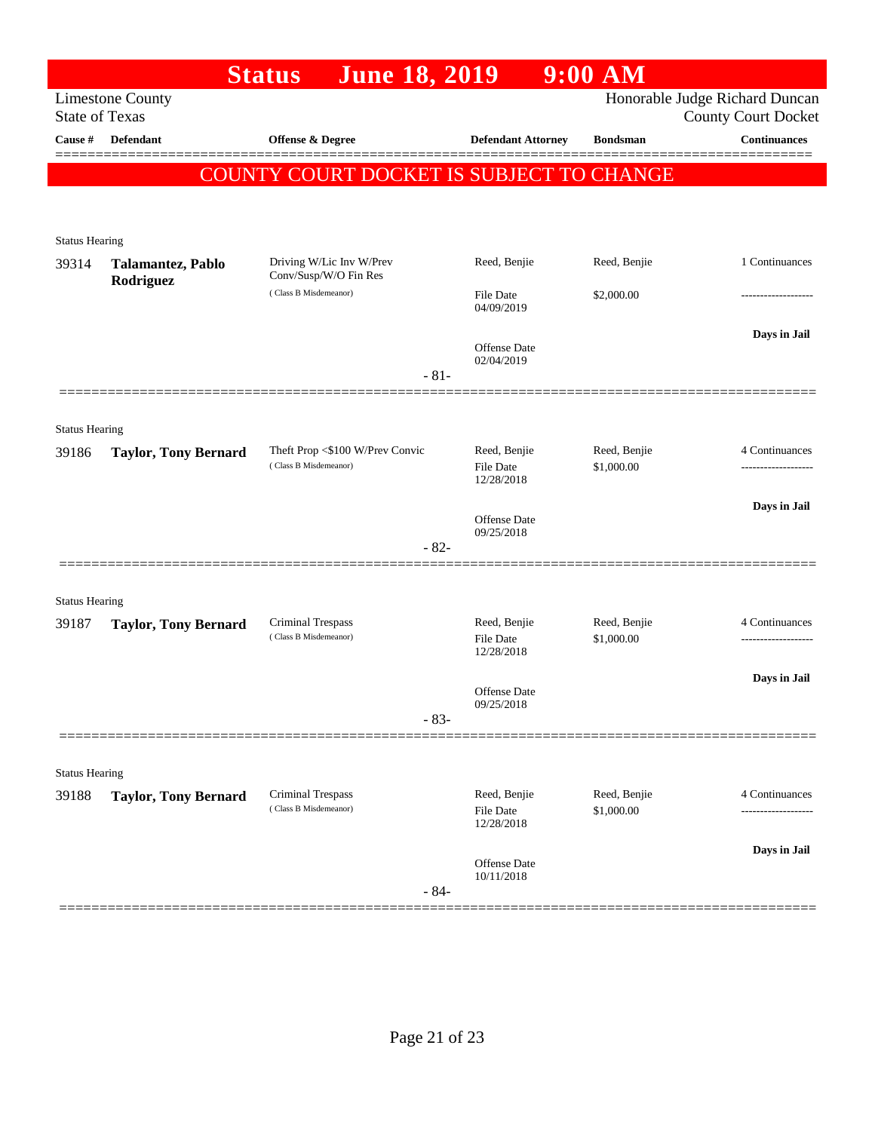|                       |                                                                                                                  | <b>June 18, 2019</b><br><b>Status</b>             |                                   | $9:00$ AM                  |                     |  |  |  |
|-----------------------|------------------------------------------------------------------------------------------------------------------|---------------------------------------------------|-----------------------------------|----------------------------|---------------------|--|--|--|
|                       | Honorable Judge Richard Duncan<br><b>Limestone County</b><br><b>State of Texas</b><br><b>County Court Docket</b> |                                                   |                                   |                            |                     |  |  |  |
| Cause #               | <b>Defendant</b>                                                                                                 | <b>Offense &amp; Degree</b>                       | <b>Defendant Attorney</b>         | <b>Bondsman</b>            | <b>Continuances</b> |  |  |  |
|                       |                                                                                                                  |                                                   |                                   |                            |                     |  |  |  |
|                       |                                                                                                                  | COUNTY COURT DOCKET IS SUBJECT TO CHANGE          |                                   |                            |                     |  |  |  |
|                       |                                                                                                                  |                                                   |                                   |                            |                     |  |  |  |
| <b>Status Hearing</b> |                                                                                                                  |                                                   |                                   |                            |                     |  |  |  |
| 39314                 | Talamantez, Pablo<br>Rodriguez                                                                                   | Driving W/Lic Inv W/Prev<br>Conv/Susp/W/O Fin Res | Reed, Benjie                      | Reed, Benjie               | 1 Continuances      |  |  |  |
|                       |                                                                                                                  | (Class B Misdemeanor)                             | <b>File Date</b><br>04/09/2019    | \$2,000.00                 | ------------------  |  |  |  |
|                       |                                                                                                                  |                                                   |                                   |                            | Days in Jail        |  |  |  |
|                       |                                                                                                                  |                                                   | <b>Offense Date</b><br>02/04/2019 |                            |                     |  |  |  |
|                       |                                                                                                                  | $-81-$                                            |                                   |                            |                     |  |  |  |
|                       |                                                                                                                  |                                                   |                                   |                            |                     |  |  |  |
| <b>Status Hearing</b> |                                                                                                                  | Theft Prop <\$100 W/Prev Convic                   | Reed, Benjie                      | Reed, Benjie               | 4 Continuances      |  |  |  |
| 39186                 | <b>Taylor, Tony Bernard</b>                                                                                      | (Class B Misdemeanor)                             | <b>File Date</b><br>12/28/2018    | \$1,000.00                 |                     |  |  |  |
|                       |                                                                                                                  |                                                   |                                   |                            | Days in Jail        |  |  |  |
|                       |                                                                                                                  |                                                   | <b>Offense Date</b><br>09/25/2018 |                            |                     |  |  |  |
|                       |                                                                                                                  | $-82-$                                            |                                   |                            |                     |  |  |  |
|                       |                                                                                                                  |                                                   |                                   |                            |                     |  |  |  |
| <b>Status Hearing</b> |                                                                                                                  |                                                   |                                   |                            |                     |  |  |  |
| 39187                 | <b>Taylor, Tony Bernard</b>                                                                                      | <b>Criminal Trespass</b><br>(Class B Misdemeanor) | Reed, Benjie<br><b>File Date</b>  | Reed, Benjie<br>\$1,000.00 | 4 Continuances<br>. |  |  |  |
|                       |                                                                                                                  |                                                   | 12/28/2018                        |                            |                     |  |  |  |
|                       |                                                                                                                  |                                                   | <b>Offense Date</b>               |                            | Days in Jail        |  |  |  |
|                       |                                                                                                                  | $-83-$                                            | 09/25/2018                        |                            |                     |  |  |  |
|                       |                                                                                                                  |                                                   |                                   |                            |                     |  |  |  |
| <b>Status Hearing</b> |                                                                                                                  |                                                   |                                   |                            |                     |  |  |  |
| 39188                 | <b>Taylor, Tony Bernard</b>                                                                                      | <b>Criminal Trespass</b><br>(Class B Misdemeanor) | Reed, Benjie                      | Reed, Benjie               | 4 Continuances      |  |  |  |
|                       |                                                                                                                  |                                                   | <b>File Date</b><br>12/28/2018    | \$1,000.00                 |                     |  |  |  |
|                       |                                                                                                                  |                                                   |                                   |                            | Days in Jail        |  |  |  |
|                       |                                                                                                                  |                                                   | Offense Date<br>10/11/2018        |                            |                     |  |  |  |
|                       |                                                                                                                  | $-84-$                                            |                                   |                            |                     |  |  |  |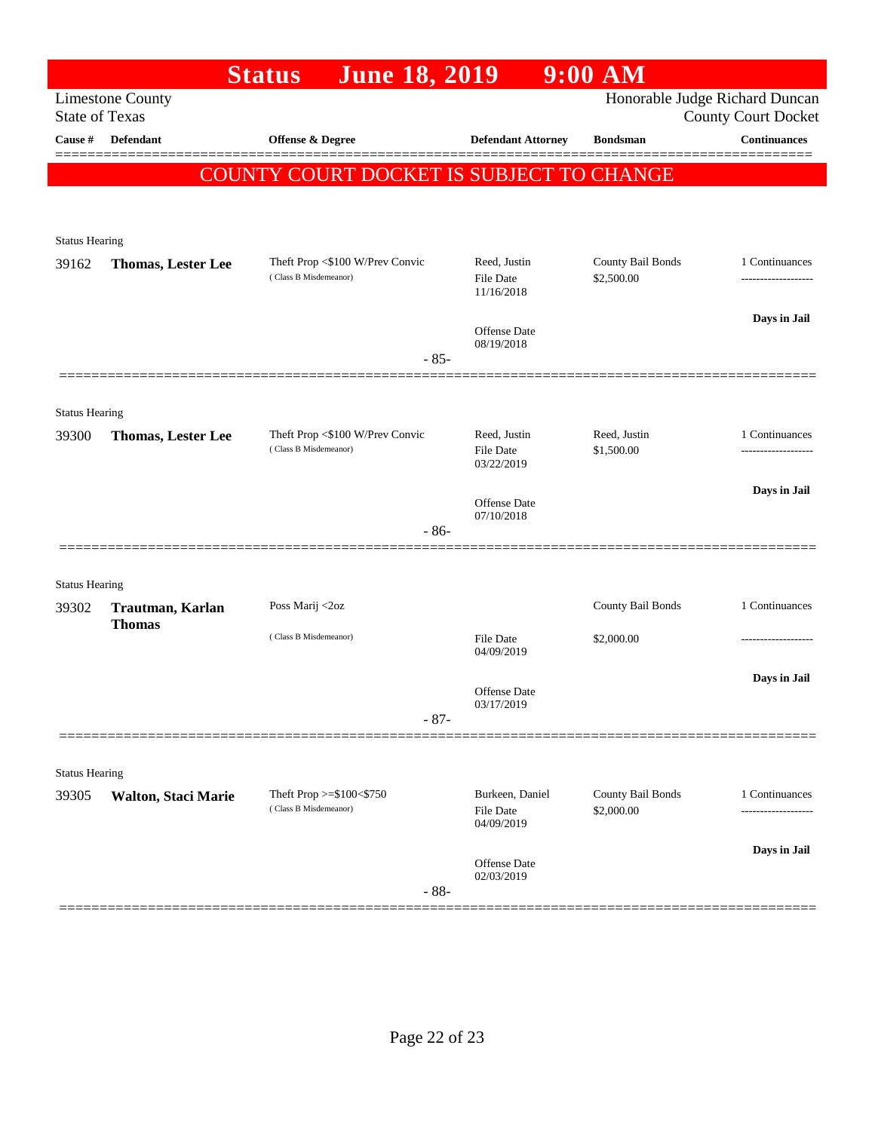|                                |                           | <b>June 18, 2019</b><br><b>Status</b>                    |                                   | $9:00$ AM                  |                                                   |
|--------------------------------|---------------------------|----------------------------------------------------------|-----------------------------------|----------------------------|---------------------------------------------------|
| <b>State of Texas</b>          | <b>Limestone County</b>   |                                                          |                                   |                            | Honorable Judge Richard Duncan                    |
| Cause #                        | <b>Defendant</b>          | <b>Offense &amp; Degree</b>                              | <b>Defendant Attorney</b>         | <b>Bondsman</b>            | <b>County Court Docket</b><br><b>Continuances</b> |
|                                |                           |                                                          |                                   |                            |                                                   |
|                                |                           | COUNTY COURT DOCKET IS SUBJECT TO CHANGE                 |                                   |                            |                                                   |
|                                |                           |                                                          |                                   |                            |                                                   |
| <b>Status Hearing</b>          |                           |                                                          |                                   |                            |                                                   |
| 39162                          | <b>Thomas, Lester Lee</b> | Theft Prop <\$100 W/Prev Convic                          | Reed, Justin                      | County Bail Bonds          | 1 Continuances                                    |
|                                |                           | (Class B Misdemeanor)                                    | <b>File Date</b><br>11/16/2018    | \$2,500.00                 |                                                   |
|                                |                           |                                                          |                                   |                            | Days in Jail                                      |
|                                |                           |                                                          | <b>Offense Date</b><br>08/19/2018 |                            |                                                   |
|                                |                           | $-85-$                                                   |                                   |                            |                                                   |
|                                |                           |                                                          |                                   |                            |                                                   |
| <b>Status Hearing</b>          |                           |                                                          |                                   |                            |                                                   |
| 39300                          | <b>Thomas, Lester Lee</b> | Theft Prop <\$100 W/Prev Convic<br>(Class B Misdemeanor) | Reed, Justin<br><b>File Date</b>  | Reed, Justin<br>\$1,500.00 | 1 Continuances<br>-----------------               |
|                                |                           |                                                          | 03/22/2019                        |                            |                                                   |
|                                |                           |                                                          | <b>Offense Date</b>               |                            | Days in Jail                                      |
|                                |                           | $-86-$                                                   | 07/10/2018                        |                            |                                                   |
|                                |                           |                                                          |                                   |                            |                                                   |
| <b>Status Hearing</b>          |                           |                                                          |                                   |                            |                                                   |
| 39302                          | Trautman, Karlan          | Poss Marij <2oz                                          |                                   | County Bail Bonds          | 1 Continuances                                    |
|                                | <b>Thomas</b>             | (Class B Misdemeanor)                                    | <b>File Date</b>                  | \$2,000.00                 |                                                   |
|                                |                           |                                                          | 04/09/2019                        |                            |                                                   |
|                                |                           |                                                          | <b>Offense Date</b>               |                            | Days in Jail                                      |
|                                |                           |                                                          | 03/17/2019                        |                            |                                                   |
|                                |                           | $-87-$                                                   |                                   |                            |                                                   |
|                                |                           |                                                          |                                   |                            |                                                   |
| <b>Status Hearing</b><br>39305 | Walton, Staci Marie       | Theft Prop $>=$ \$100 $<$ \$750                          | Burkeen, Daniel                   | County Bail Bonds          | 1 Continuances                                    |
|                                |                           | (Class B Misdemeanor)                                    | <b>File Date</b>                  | \$2,000.00                 |                                                   |
|                                |                           |                                                          | 04/09/2019                        |                            |                                                   |
|                                |                           |                                                          | Offense Date                      |                            | Days in Jail                                      |
|                                |                           | $-88-$                                                   | 02/03/2019                        |                            |                                                   |
|                                |                           |                                                          |                                   |                            |                                                   |